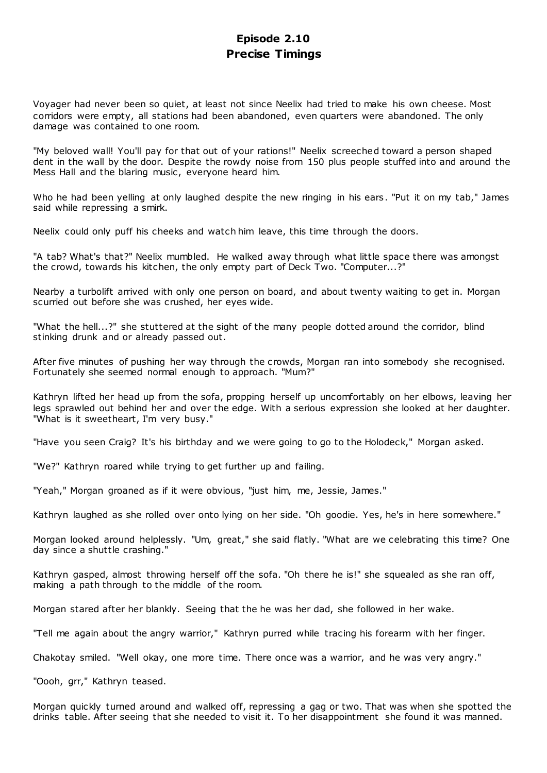# **Episode 2.10 Precise Timings**

Voyager had never been so quiet, at least not since Neelix had tried to make his own cheese. Most corridors were empty, all stations had been abandoned, even quarters were abandoned. The only damage was contained to one room.

"My beloved wall! You'll pay for that out of your rations!" Neelix screeched toward a person shaped dent in the wall by the door. Despite the rowdy noise from 150 plus people stuffed into and around the Mess Hall and the blaring music, everyone heard him.

Who he had been yelling at only laughed despite the new ringing in his ears. "Put it on my tab," James said while repressing a smirk.

Neelix could only puff his cheeks and watch him leave, this time through the doors.

"A tab? What's that?" Neelix mumbled. He walked away through what little space there was amongst the crowd, towards his kitchen, the only empty part of Deck Two. "Computer...?"

Nearby a turbolift arrived with only one person on board, and about twenty waiting to get in. Morgan scurried out before she was crushed, her eyes wide.

"What the hell...?" she stuttered at the sight of the many people dotted around the corridor, blind stinking drunk and or already passed out.

After five minutes of pushing her way through the crowds, Morgan ran into somebody she recognised. Fortunately she seemed normal enough to approach. "Mum?"

Kathryn lifted her head up from the sofa, propping herself up uncomfortably on her elbows, leaving her legs sprawled out behind her and over the edge. With a serious expression she looked at her daughter. "What is it sweetheart, I'm very busy."

"Have you seen Craig? It's his birthday and we were going to go to the Holodeck," Morgan asked.

"We?" Kathryn roared while trying to get further up and failing.

"Yeah," Morgan groaned as if it were obvious, "just him, me, Jessie, James."

Kathryn laughed as she rolled over onto lying on her side. "Oh goodie. Yes, he's in here somewhere."

Morgan looked around helplessly. "Um, great," she said flatly. "What are we celebrating this time? One day since a shuttle crashing."

Kathryn gasped, almost throwing herself off the sofa. "Oh there he is!" she squealed as she ran off, making a path through to the middle of the room.

Morgan stared after her blankly. Seeing that the he was her dad, she followed in her wake.

"Tell me again about the angry warrior," Kathryn purred while tracing his forearm with her finger.

Chakotay smiled. "Well okay, one more time. There once was a warrior, and he was very angry."

"Oooh, grr," Kathryn teased.

Morgan quickly turned around and walked off, repressing a gag or two. That was when she spotted the drinks table. After seeing that she needed to visit it. To her disappointment she found it was manned.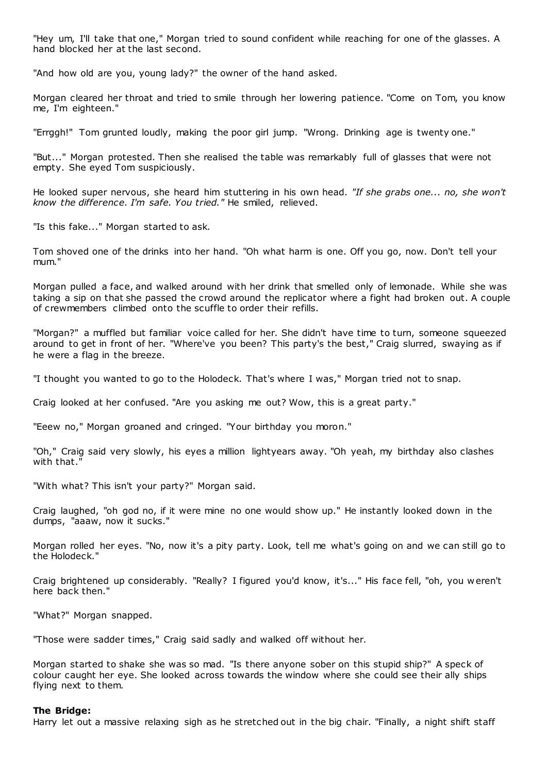"Hey um, I'll take that one," Morgan tried to sound confident while reaching for one of the glasses. A hand blocked her at the last second.

"And how old are you, young lady?" the owner of the hand asked.

Morgan cleared her throat and tried to smile through her lowering patience. "Come on Tom, you know me, I'm eighteen."

"Errggh!" Tom grunted loudly, making the poor girl jump. "Wrong. Drinking age is twenty one."

"But..." Morgan protested. Then she realised the table was remarkably full of glasses that were not empty. She eyed Tom suspiciously.

He looked super nervous, she heard him stuttering in his own head. *"If she grabs one... no, she won't know the difference. I'm safe. You tried."* He smiled, relieved.

"Is this fake..." Morgan started to ask.

Tom shoved one of the drinks into her hand. "Oh what harm is one. Off you go, now. Don't tell your mum."

Morgan pulled a face, and walked around with her drink that smelled only of lemonade. While she was taking a sip on that she passed the crowd around the replicator where a fight had broken out. A couple of crewmembers climbed onto the scuffle to order their refills.

"Morgan?" a muffled but familiar voice called for her. She didn't have time to turn, someone squeezed around to get in front of her. "Where've you been? This party's the best," Craig slurred, swaying as if he were a flag in the breeze.

"I thought you wanted to go to the Holodeck. That's where I was," Morgan tried not to snap.

Craig looked at her confused. "Are you asking me out? Wow, this is a great party."

"Eeew no," Morgan groaned and cringed. "Your birthday you moron."

"Oh," Craig said very slowly, his eyes a million lightyears away. "Oh yeah, my birthday also clashes with that."

"With what? This isn't your party?" Morgan said.

Craig laughed, "oh god no, if it were mine no one would show up." He instantly looked down in the dumps, "aaaw, now it sucks."

Morgan rolled her eyes. "No, now it's a pity party. Look, tell me what's going on and we can still go to the Holodeck."

Craig brightened up considerably. "Really? I figured you'd know, it's..." His face fell, "oh, you w eren't here back then."

"What?" Morgan snapped.

"Those were sadder times," Craig said sadly and walked off without her.

Morgan started to shake she was so mad. "Is there anyone sober on this stupid ship?" A speck of colour caught her eye. She looked across towards the window where she could see their ally ships flying next to them.

#### **The Bridge:**

Harry let out a massive relaxing sigh as he stretched out in the big chair. "Finally, a night shift staff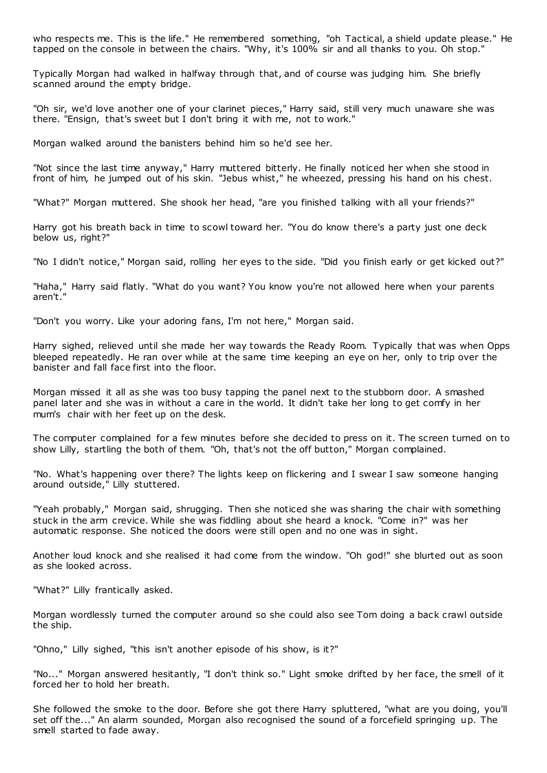who respects me. This is the life." He remembered something, "oh Tactical, a shield update please." He tapped on the console in between the chairs. "Why, it's 100% sir and all thanks to you. Oh stop."

Typically Morgan had walked in halfway through that, and of course was judging him. She briefly scanned around the empty bridge.

"Oh sir, we'd love another one of your clarinet pieces," Harry said, still very much unaware she was there. "Ensign, that's sweet but I don't bring it with me, not to work."

Morgan walked around the banisters behind him so he'd see her.

"Not since the last time anyway," Harry muttered bitterly. He finally noticed her when she stood in front of him, he jumped out of his skin. "Jebus whist," he wheezed, pressing his hand on his chest.

"What?" Morgan muttered. She shook her head, "are you finished talking with all your friends?"

Harry got his breath back in time to scowl toward her. "You do know there's a party just one deck below us, right?"

"No I didn't notice," Morgan said, rolling her eyes to the side. "Did you finish early or get kicked out?"

"Haha," Harry said flatly. "What do you want? You know you're not allowed here when your parents aren't."

"Don't you worry. Like your adoring fans, I'm not here," Morgan said.

Harry sighed, relieved until she made her way towards the Ready Room. Typically that was when Opps bleeped repeatedly. He ran over while at the same time keeping an eye on her, only to trip over the banister and fall face first into the floor.

Morgan missed it all as she was too busy tapping the panel next to the stubborn door. A smashed panel later and she was in without a care in the world. It didn't take her long to get comfy in her mum's chair with her feet up on the desk.

The computer complained for a few minutes before she decided to press on it. The screen turned on to show Lilly, startling the both of them. "Oh, that's not the off button," Morgan complained.

"No. What's happening over there? The lights keep on flickering and I swear I saw someone hanging around outside," Lilly stuttered.

"Yeah probably," Morgan said, shrugging. Then she noticed she was sharing the chair with something stuck in the arm crevice. While she was fiddling about she heard a knock. "Come in?" was her automatic response. She noticed the doors were still open and no one was in sight.

Another loud knock and she realised it had come from the window. "Oh god!" she blurted out as soon as she looked across.

"What?" Lilly frantically asked.

Morgan wordlessly turned the computer around so she could also see Tom doing a back crawl outside the ship.

"Ohno," Lilly sighed, "this isn't another episode of his show, is it?"

"No..." Morgan answered hesitantly, "I don't think so." Light smoke drifted by her face, the smell of it forced her to hold her breath.

She followed the smoke to the door. Before she got there Harry spluttered, "what are you doing, you'll set off the..." An alarm sounded, Morgan also recognised the sound of a forcefield springing up. The smell started to fade away.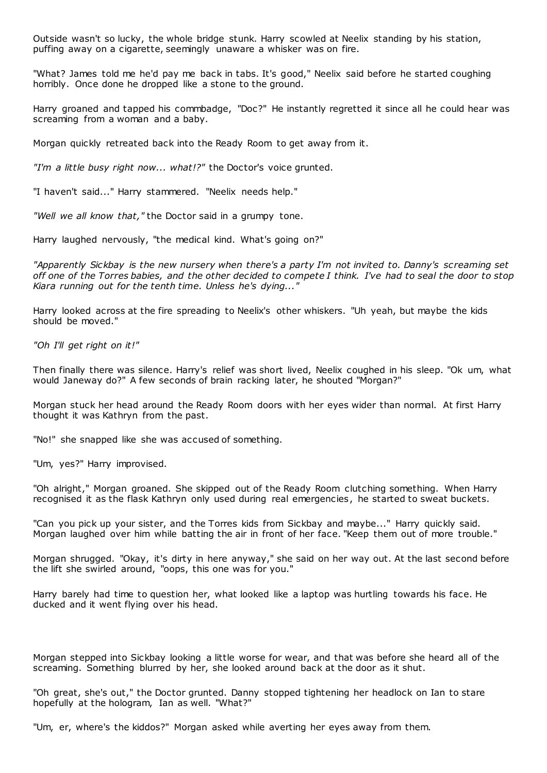Outside wasn't so lucky, the whole bridge stunk. Harry scowled at Neelix standing by his station, puffing away on a cigarette, seemingly unaware a whisker was on fire.

"What? James told me he'd pay me back in tabs. It's good," Neelix said before he started coughing horribly. Once done he dropped like a stone to the ground.

Harry groaned and tapped his commbadge, "Doc?" He instantly regretted it since all he could hear was screaming from a woman and a baby.

Morgan quickly retreated back into the Ready Room to get away from it.

*"I'm a little busy right now... what!?"* the Doctor's voice grunted.

"I haven't said..." Harry stammered. "Neelix needs help."

*"Well we all know that,"* the Doctor said in a grumpy tone.

Harry laughed nervously, "the medical kind. What's going on?"

*"Apparently Sickbay is the new nursery when there's a party I'm not invited to. Danny's screaming set off one of the Torres babies, and the other decided to compete I think. I've had to seal the door to stop Kiara running out for the tenth time. Unless he's dying..."*

Harry looked across at the fire spreading to Neelix's other whiskers. "Uh yeah, but maybe the kids should be moved."

*"Oh I'll get right on it!"*

Then finally there was silence. Harry's relief was short lived, Neelix coughed in his sleep. "Ok um, what would Janeway do?" A few seconds of brain racking later, he shouted "Morgan?"

Morgan stuck her head around the Ready Room doors with her eyes wider than normal. At first Harry thought it was Kathryn from the past.

"No!" she snapped like she was accused of something.

"Um, yes?" Harry improvised.

"Oh alright," Morgan groaned. She skipped out of the Ready Room clutching something. When Harry recognised it as the flask Kathryn only used during real emergencies, he started to sweat buckets.

"Can you pick up your sister, and the Torres kids from Sickbay and maybe..." Harry quickly said. Morgan laughed over him while batting the air in front of her face. "Keep them out of more trouble."

Morgan shrugged. "Okay, it's dirty in here anyway," she said on her way out. At the last second before the lift she swirled around, "oops, this one was for you."

Harry barely had time to question her, what looked like a laptop was hurtling towards his face. He ducked and it went flying over his head.

Morgan stepped into Sickbay looking a little worse for wear, and that was before she heard all of the screaming. Something blurred by her, she looked around back at the door as it shut.

"Oh great, she's out," the Doctor grunted. Danny stopped tightening her headlock on Ian to stare hopefully at the hologram, Ian as well. "What?"

"Um, er, where's the kiddos?" Morgan asked while averting her eyes away from them.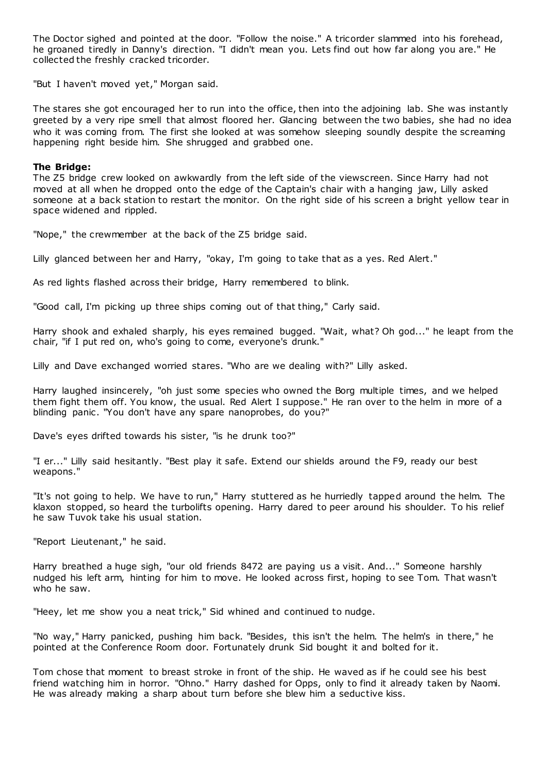The Doctor sighed and pointed at the door. "Follow the noise." A tricorder slammed into his forehead, he groaned tiredly in Danny's direction. "I didn't mean you. Lets find out how far along you are." He collected the freshly cracked tricorder.

"But I haven't moved yet," Morgan said.

The stares she got encouraged her to run into the office, then into the adjoining lab. She was instantly greeted by a very ripe smell that almost floored her. Glancing between the two babies, she had no idea who it was coming from. The first she looked at was somehow sleeping soundly despite the screaming happening right beside him. She shrugged and grabbed one.

## **The Bridge:**

The Z5 bridge crew looked on awkwardly from the left side of the viewscreen. Since Harry had not moved at all when he dropped onto the edge of the Captain's chair with a hanging jaw, Lilly asked someone at a back station to restart the monitor. On the right side of his screen a bright yellow tear in space widened and rippled.

"Nope," the crewmember at the back of the Z5 bridge said.

Lilly glanced between her and Harry, "okay, I'm going to take that as a yes. Red Alert."

As red lights flashed across their bridge, Harry remembered to blink.

"Good call, I'm picking up three ships coming out of that thing," Carly said.

Harry shook and exhaled sharply, his eyes remained bugged. "Wait, what? Oh god..." he leapt from the chair, "if I put red on, who's going to come, everyone's drunk."

Lilly and Dave exchanged worried stares. "Who are we dealing with?" Lilly asked.

Harry laughed insincerely, "oh just some species who owned the Borg multiple times, and we helped them fight them off. You know, the usual. Red Alert I suppose." He ran over to the helm in more of a blinding panic. "You don't have any spare nanoprobes, do you?"

Dave's eyes drifted towards his sister, "is he drunk too?"

"I er..." Lilly said hesitantly. "Best play it safe. Extend our shields around the F9, ready our best weapons."

"It's not going to help. We have to run," Harry stuttered as he hurriedly tapped around the helm. The klaxon stopped, so heard the turbolifts opening. Harry dared to peer around his shoulder. To his relief he saw Tuvok take his usual station.

"Report Lieutenant," he said.

Harry breathed a huge sigh, "our old friends 8472 are paying us a visit. And..." Someone harshly nudged his left arm, hinting for him to move. He looked across first, hoping to see Tom. That wasn't who he saw.

"Heey, let me show you a neat trick," Sid whined and continued to nudge.

"No way," Harry panicked, pushing him back. "Besides, this isn't the helm. The helm's in there," he pointed at the Conference Room door. Fortunately drunk Sid bought it and bolted for it.

Tom chose that moment to breast stroke in front of the ship. He waved as if he could see his best friend watching him in horror. "Ohno." Harry dashed for Opps, only to find it already taken by Naomi. He was already making a sharp about turn before she blew him a seductive kiss.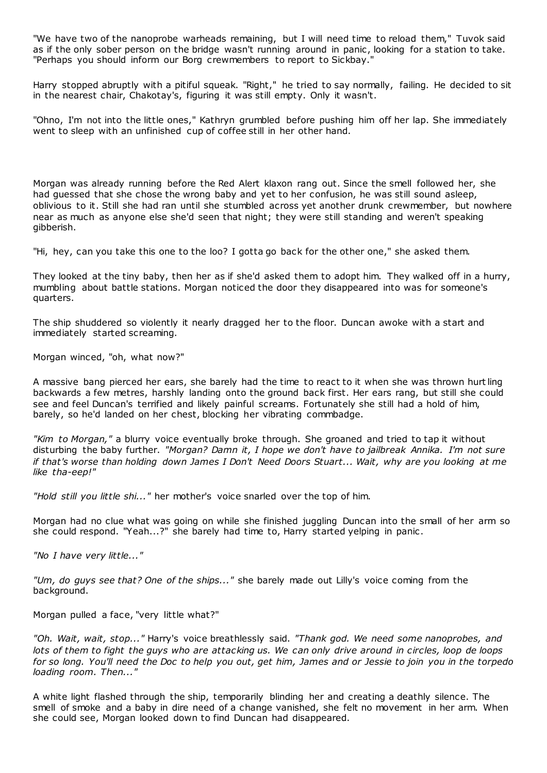"We have two of the nanoprobe warheads remaining, but I will need time to reload them," Tuvok said as if the only sober person on the bridge wasn't running around in panic, looking for a station to take. "Perhaps you should inform our Borg crewmembers to report to Sickbay."

Harry stopped abruptly with a pitiful squeak. "Right," he tried to say normally, failing. He decided to sit in the nearest chair, Chakotay's, figuring it was still empty. Only it wasn't.

"Ohno, I'm not into the little ones," Kathryn grumbled before pushing him off her lap. She immediately went to sleep with an unfinished cup of coffee still in her other hand.

Morgan was already running before the Red Alert klaxon rang out. Since the smell followed her, she had guessed that she chose the wrong baby and yet to her confusion, he was still sound asleep, oblivious to it. Still she had ran until she stumbled across yet another drunk crewmember, but nowhere near as much as anyone else she'd seen that night; they were still standing and weren't speaking gibberish.

"Hi, hey, can you take this one to the loo? I gotta go back for the other one," she asked them.

They looked at the tiny baby, then her as if she'd asked them to adopt him. They walked off in a hurry, mumbling about battle stations. Morgan noticed the door they disappeared into was for someone's quarters.

The ship shuddered so violently it nearly dragged her to the floor. Duncan awoke with a start and immediately started screaming.

Morgan winced, "oh, what now?"

A massive bang pierced her ears, she barely had the time to react to it when she was thrown hurt ling backwards a few metres, harshly landing onto the ground back first. Her ears rang, but still she could see and feel Duncan's terrified and likely painful screams. Fortunately she still had a hold of him, barely, so he'd landed on her chest, blocking her vibrating commbadge.

*"Kim to Morgan,"* a blurry voice eventually broke through. She groaned and tried to tap it without disturbing the baby further. *"Morgan? Damn it, I hope we don't have to jailbreak Annika. I'm not sure if that's worse than holding down James I Don't Need Doors Stuart... Wait, why are you looking at me like tha-eep!"*

*"Hold still you little shi..."* her mother's voice snarled over the top of him.

Morgan had no clue what was going on while she finished juggling Duncan into the small of her arm so she could respond. "Yeah...?" she barely had time to, Harry started yelping in panic .

*"No I have very little..."*

*"Um, do guys see that? One of the ships..."* she barely made out Lilly's voice coming from the background.

Morgan pulled a face, "very little what?"

*"Oh. Wait, wait, stop..."* Harry's voice breathlessly said. *"Thank god. We need some nanoprobes, and lots of them to fight the guys who are attacking us. We can only drive around in circles, loop de loops for so long. You'll need the Doc to help you out, get him, James and or Jessie to join you in the torpedo loading room. Then..."*

A white light flashed through the ship, temporarily blinding her and creating a deathly silence. The smell of smoke and a baby in dire need of a change vanished, she felt no movement in her arm. When she could see, Morgan looked down to find Duncan had disappeared.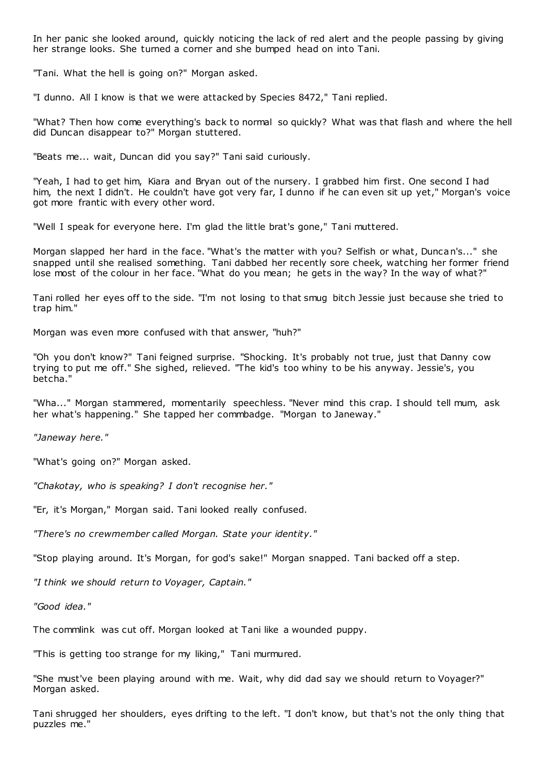In her panic she looked around, quickly noticing the lack of red alert and the people passing by giving her strange looks. She turned a corner and she bumped head on into Tani.

"Tani. What the hell is going on?" Morgan asked.

"I dunno. All I know is that we were attacked by Species 8472," Tani replied.

"What? Then how come everything's back to normal so quickly? What was that flash and where the hell did Duncan disappear to?" Morgan stuttered.

"Beats me... wait, Duncan did you say?" Tani said curiously.

"Yeah, I had to get him, Kiara and Bryan out of the nursery. I grabbed him first. One second I had him, the next I didn't. He couldn't have got very far, I dunno if he can even sit up yet," Morgan's voice got more frantic with every other word.

"Well I speak for everyone here. I'm glad the little brat's gone," Tani muttered.

Morgan slapped her hard in the face. "What's the matter with you? Selfish or what, Duncan's..." she snapped until she realised something. Tani dabbed her recently sore cheek, watching her former friend lose most of the colour in her face. "What do you mean; he gets in the way? In the way of what?"

Tani rolled her eyes off to the side. "I'm not losing to that smug bitch Jessie just because she tried to trap him."

Morgan was even more confused with that answer, "huh?"

"Oh you don't know?" Tani feigned surprise. "Shocking. It's probably not true, just that Danny cow trying to put me off." She sighed, relieved. "The kid's too whiny to be his anyway. Jessie's, you betcha."

"Wha..." Morgan stammered, momentarily speechless. "Never mind this crap. I should tell mum, ask her what's happening." She tapped her commbadge. "Morgan to Janeway."

*"Janeway here."*

"What's going on?" Morgan asked.

*"Chakotay, who is speaking? I don't recognise her."*

"Er, it's Morgan," Morgan said. Tani looked really confused.

*"There's no crewmember called Morgan. State your identity."*

"Stop playing around. It's Morgan, for god's sake!" Morgan snapped. Tani backed off a step.

*"I think we should return to Voyager, Captain."*

*"Good idea."*

The commlink was cut off. Morgan looked at Tani like a wounded puppy.

"This is getting too strange for my liking," Tani murmured.

"She must've been playing around with me. Wait, why did dad say we should return to Voyager?" Morgan asked.

Tani shrugged her shoulders, eyes drifting to the left. "I don't know, but that's not the only thing that puzzles me."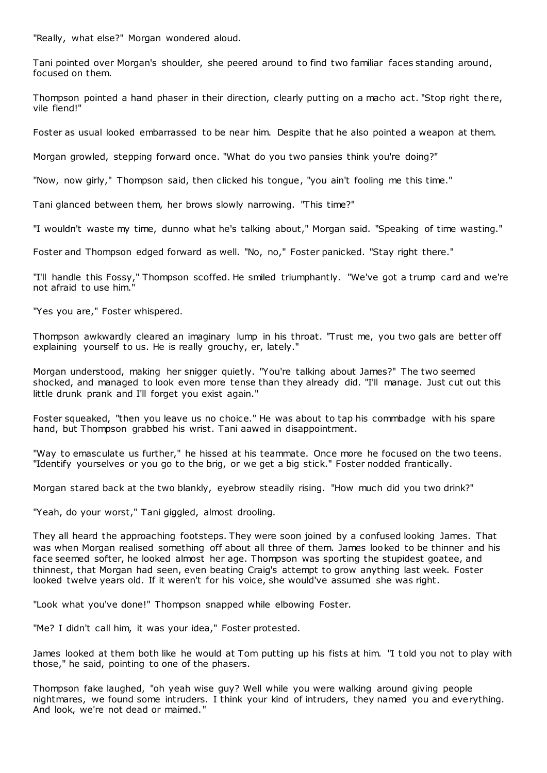"Really, what else?" Morgan wondered aloud.

Tani pointed over Morgan's shoulder, she peered around to find two familiar faces standing around, focused on them.

Thompson pointed a hand phaser in their direction, clearly putting on a macho act. "Stop right there, vile fiend!"

Foster as usual looked embarrassed to be near him. Despite that he also pointed a weapon at them.

Morgan growled, stepping forward once. "What do you two pansies think you're doing?"

"Now, now girly," Thompson said, then clicked his tongue, "you ain't fooling me this time."

Tani glanced between them, her brows slowly narrowing. "This time?"

"I wouldn't waste my time, dunno what he's talking about," Morgan said. "Speaking of time wasting."

Foster and Thompson edged forward as well. "No, no," Foster panicked. "Stay right there."

"I'll handle this Fossy," Thompson scoffed. He smiled triumphantly. "We've got a trump card and we're not afraid to use  $him.$ 

"Yes you are," Foster whispered.

Thompson awkwardly cleared an imaginary lump in his throat. "Trust me, you two gals are better off explaining yourself to us. He is really grouchy, er, lately."

Morgan understood, making her snigger quietly. "You're talking about James?" The two seemed shocked, and managed to look even more tense than they already did. "I'll manage. Just cut out this little drunk prank and I'll forget you exist again."

Foster squeaked, "then you leave us no choice." He was about to tap his commbadge with his spare hand, but Thompson grabbed his wrist. Tani aawed in disappointment.

"Way to emasculate us further," he hissed at his teammate. Once more he focused on the two teens. "Identify yourselves or you go to the brig, or we get a big stick." Foster nodded frantically.

Morgan stared back at the two blankly, eyebrow steadily rising. "How much did you two drink?"

"Yeah, do your worst," Tani giggled, almost drooling.

They all heard the approaching footsteps. They were soon joined by a confused looking James. That was when Morgan realised something off about all three of them. James looked to be thinner and his face seemed softer, he looked almost her age. Thompson was sporting the stupidest goatee, and thinnest, that Morgan had seen, even beating Craig's attempt to grow anything last week. Foster looked twelve years old. If it weren't for his voice, she would've assumed she was right.

"Look what you've done!" Thompson snapped while elbowing Foster.

"Me? I didn't call him, it was your idea," Foster protested.

James looked at them both like he would at Tom putting up his fists at him. "I t old you not to play with those," he said, pointing to one of the phasers.

Thompson fake laughed, "oh yeah wise guy? Well while you were walking around giving people nightmares, we found some intruders. I think your kind of intruders, they named you and everything. And look, we're not dead or maimed."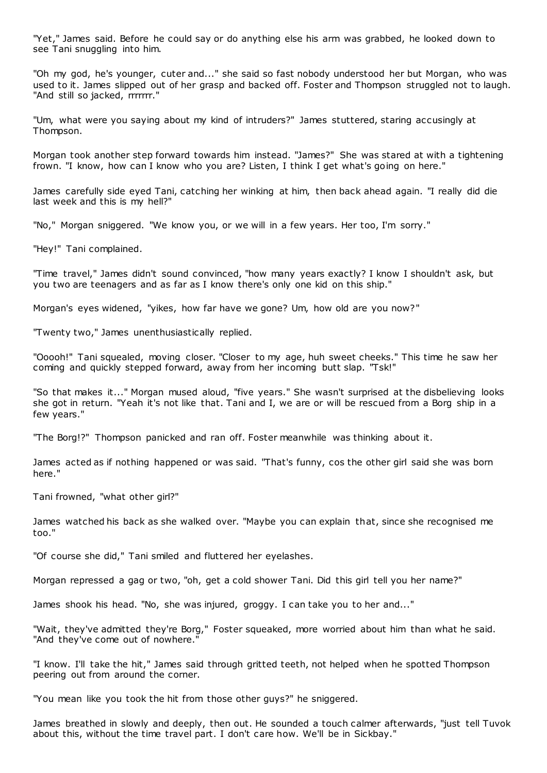"Yet," James said. Before he could say or do anything else his arm was grabbed, he looked down to see Tani snuggling into him.

"Oh my god, he's younger, cuter and..." she said so fast nobody understood her but Morgan, who was used to it. James slipped out of her grasp and backed off. Foster and Thompson struggled not to laugh. "And still so jacked, rrrrrrr."

"Um, what were you saying about my kind of intruders?" James stuttered, staring accusingly at Thompson.

Morgan took another step forward towards him instead. "James?" She was stared at with a tightening frown. "I know, how can I know who you are? Listen, I think I get what's going on here."

James carefully side eyed Tani, catching her winking at him, then back ahead again. "I really did die last week and this is my hell?"

"No," Morgan sniggered. "We know you, or we will in a few years. Her too, I'm sorry."

"Hey!" Tani complained.

"Time travel," James didn't sound convinced, "how many years exactly? I know I shouldn't ask, but you two are teenagers and as far as I know there's only one kid on this ship."

Morgan's eyes widened, "yikes, how far have we gone? Um, how old are you now?"

"Twenty two," James unenthusiastically replied.

"Ooooh!" Tani squealed, moving closer. "Closer to my age, huh sweet cheeks." This time he saw her coming and quickly stepped forward, away from her incoming butt slap. "Tsk!"

"So that makes it..." Morgan mused aloud, "five years." She wasn't surprised at the disbelieving looks she got in return. "Yeah it's not like that. Tani and I, we are or will be rescued from a Borg ship in a few years."

"The Borg!?" Thompson panicked and ran off. Foster meanwhile was thinking about it.

James acted as if nothing happened or was said. "That's funny, cos the other girl said she was born here."

Tani frowned, "what other girl?"

James watched his back as she walked over. "Maybe you can explain that, since she recognised me too."

"Of course she did," Tani smiled and fluttered her eyelashes.

Morgan repressed a gag or two, "oh, get a cold shower Tani. Did this girl tell you her name?"

James shook his head. "No, she was injured, groggy. I can take you to her and..."

"Wait, they've admitted they're Borg," Foster squeaked, more worried about him than what he said. "And they've come out of nowhere."

"I know. I'll take the hit," James said through gritted teeth, not helped when he spotted Thompson peering out from around the corner.

"You mean like you took the hit from those other guys?" he sniggered.

James breathed in slowly and deeply, then out. He sounded a touch calmer afterwards, "just tell Tuvok about this, without the time travel part. I don't care how. We'll be in Sickbay."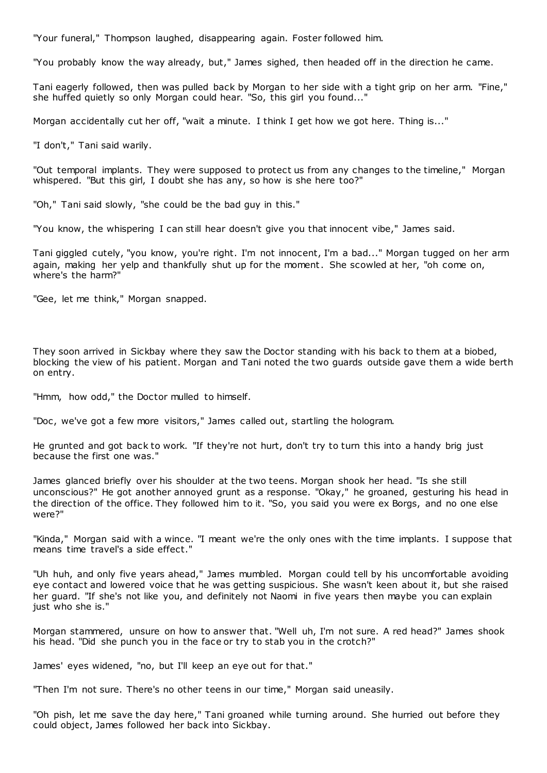"Your funeral," Thompson laughed, disappearing again. Foster followed him.

"You probably know the way already, but," James sighed, then headed off in the direction he came.

Tani eagerly followed, then was pulled back by Morgan to her side with a tight grip on her arm. "Fine," she huffed quietly so only Morgan could hear. "So, this girl you found..."

Morgan accidentally cut her off, "wait a minute. I think I get how we got here. Thing is..."

"I don't," Tani said warily.

"Out temporal implants. They were supposed to protect us from any changes to the timeline," Morgan whispered. "But this girl, I doubt she has any, so how is she here too?"

"Oh," Tani said slowly, "she could be the bad guy in this."

"You know, the whispering I can still hear doesn't give you that innocent vibe," James said.

Tani giggled cutely, "you know, you're right. I'm not innocent, I'm a bad..." Morgan tugged on her arm again, making her yelp and thankfully shut up for the moment. She scowled at her, "oh come on, where's the harm?"

"Gee, let me think," Morgan snapped.

They soon arrived in Sickbay where they saw the Doctor standing with his back to them at a biobed, blocking the view of his patient. Morgan and Tani noted the two guards outside gave them a wide berth on entry.

"Hmm, how odd," the Doctor mulled to himself.

"Doc, we've got a few more visitors," James called out, startling the hologram.

He grunted and got back to work. "If they're not hurt, don't try to turn this into a handy brig just because the first one was."

James glanced briefly over his shoulder at the two teens. Morgan shook her head. "Is she still unconscious?" He got another annoyed grunt as a response. "Okay," he groaned, gesturing his head in the direction of the office. They followed him to it. "So, you said you were ex Borgs, and no one else were?"

"Kinda," Morgan said with a wince. "I meant we're the only ones with the time implants. I suppose that means time travel's a side effect."

"Uh huh, and only five years ahead," James mumbled. Morgan could tell by his uncomfortable avoiding eye contact and lowered voice that he was getting suspicious. She wasn't keen about it, but she raised her guard. "If she's not like you, and definitely not Naomi in five years then maybe you can explain just who she is."

Morgan stammered, unsure on how to answer that. "Well uh, I'm not sure. A red head?" James shook his head. "Did she punch you in the face or try to stab you in the crotch?"

James' eyes widened, "no, but I'll keep an eye out for that."

"Then I'm not sure. There's no other teens in our time," Morgan said uneasily.

"Oh pish, let me save the day here," Tani groaned while turning around. She hurried out before they could object, James followed her back into Sickbay.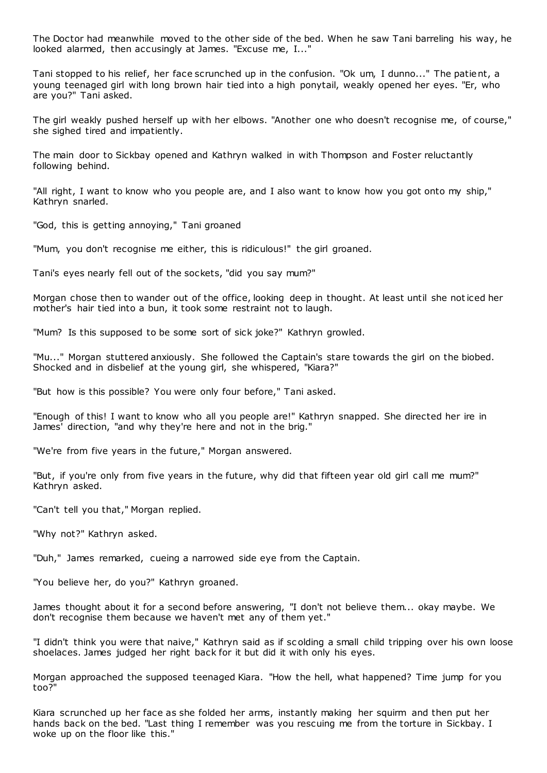The Doctor had meanwhile moved to the other side of the bed. When he saw Tani barreling his way, he looked alarmed, then accusingly at James. "Excuse me, I..."

Tani stopped to his relief, her face scrunched up in the confusion. "Ok um, I dunno..." The patient, a young teenaged girl with long brown hair tied into a high ponytail, weakly opened her eyes. "Er, who are you?" Tani asked.

The girl weakly pushed herself up with her elbows. "Another one who doesn't recognise me, of course," she sighed tired and impatiently.

The main door to Sickbay opened and Kathryn walked in with Thompson and Foster reluctantly following behind.

"All right, I want to know who you people are, and I also want to know how you got onto my ship," Kathryn snarled.

"God, this is getting annoying," Tani groaned

"Mum, you don't recognise me either, this is ridiculous!" the girl groaned.

Tani's eyes nearly fell out of the sockets, "did you say mum?"

Morgan chose then to wander out of the office, looking deep in thought. At least until she noticed her mother's hair tied into a bun, it took some restraint not to laugh.

"Mum? Is this supposed to be some sort of sick joke?" Kathryn growled.

"Mu..." Morgan stuttered anxiously. She followed the Captain's stare towards the girl on the biobed. Shocked and in disbelief at the young girl, she whispered, "Kiara?"

"But how is this possible? You were only four before," Tani asked.

"Enough of this! I want to know who all you people are!" Kathryn snapped. She directed her ire in James' direction, "and why they're here and not in the brig."

"We're from five years in the future," Morgan answered.

"But, if you're only from five years in the future, why did that fifteen year old girl call me mum?" Kathryn asked.

"Can't tell you that," Morgan replied.

"Why not?" Kathryn asked.

"Duh," James remarked, cueing a narrowed side eye from the Captain.

"You believe her, do you?" Kathryn groaned.

James thought about it for a second before answering, "I don't not believe them... okay maybe. We don't recognise them because we haven't met any of them yet."

"I didn't think you were that naive," Kathryn said as if sc olding a small child tripping over his own loose shoelaces. James judged her right back for it but did it with only his eyes.

Morgan approached the supposed teenaged Kiara. "How the hell, what happened? Time jump for you too?"

Kiara scrunched up her face as she folded her arms, instantly making her squirm and then put her hands back on the bed. "Last thing I remember was you rescuing me from the torture in Sickbay. I woke up on the floor like this."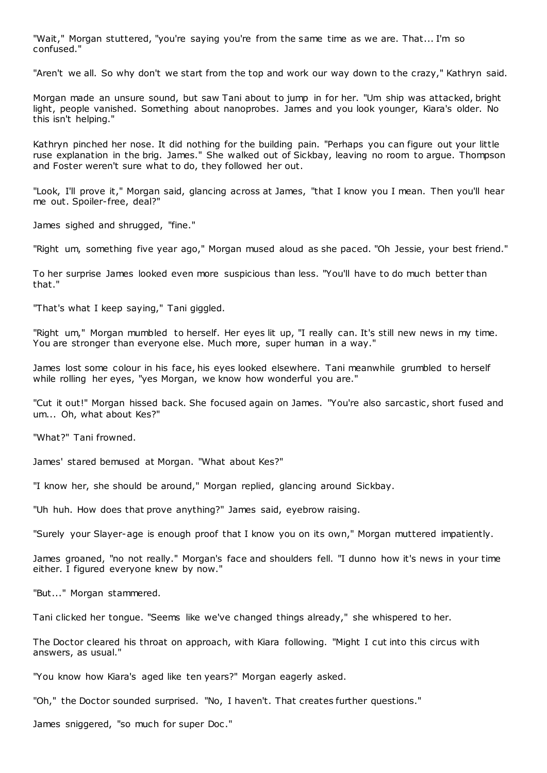"Wait," Morgan stuttered, "you're saying you're from the same time as we are. That... I'm so confused."

"Aren't we all. So why don't we start from the top and work our way down to the crazy," Kathryn said.

Morgan made an unsure sound, but saw Tani about to jump in for her. "Um ship was attacked, bright light, people vanished. Something about nanoprobes. James and you look younger, Kiara's older. No this isn't helping."

Kathryn pinched her nose. It did nothing for the building pain. "Perhaps you can figure out your little ruse explanation in the brig. James." She walked out of Sickbay, leaving no room to argue. Thompson and Foster weren't sure what to do, they followed her out.

"Look, I'll prove it," Morgan said, glancing across at James, "that I know you I mean. Then you'll hear me out. Spoiler-free, deal?"

James sighed and shrugged, "fine."

"Right um, something five year ago," Morgan mused aloud as she paced. "Oh Jessie, your best friend."

To her surprise James looked even more suspicious than less. "You'll have to do much better than that."

"That's what I keep saying," Tani giggled.

"Right um," Morgan mumbled to herself. Her eyes lit up, "I really can. It's still new news in my time. You are stronger than everyone else. Much more, super human in a way."

James lost some colour in his face, his eyes looked elsewhere. Tani meanwhile grumbled to herself while rolling her eyes, "yes Morgan, we know how wonderful you are."

"Cut it out!" Morgan hissed back. She focused again on James. "You're also sarcastic , short fused and um... Oh, what about Kes?"

"What?" Tani frowned.

James' stared bemused at Morgan. "What about Kes?"

"I know her, she should be around," Morgan replied, glancing around Sickbay.

"Uh huh. How does that prove anything?" James said, eyebrow raising.

"Surely your Slayer-age is enough proof that I know you on its own," Morgan muttered impatiently.

James groaned, "no not really." Morgan's face and shoulders fell. "I dunno how it's news in your time either. I figured everyone knew by now."

"But..." Morgan stammered.

Tani clicked her tongue. "Seems like we've changed things already," she whispered to her.

The Doctor cleared his throat on approach, with Kiara following. "Might I cut into this circus with answers, as usual."

"You know how Kiara's aged like ten years?" Morgan eagerly asked.

"Oh," the Doctor sounded surprised. "No, I haven't. That creates further questions."

James sniggered, "so much for super Doc ."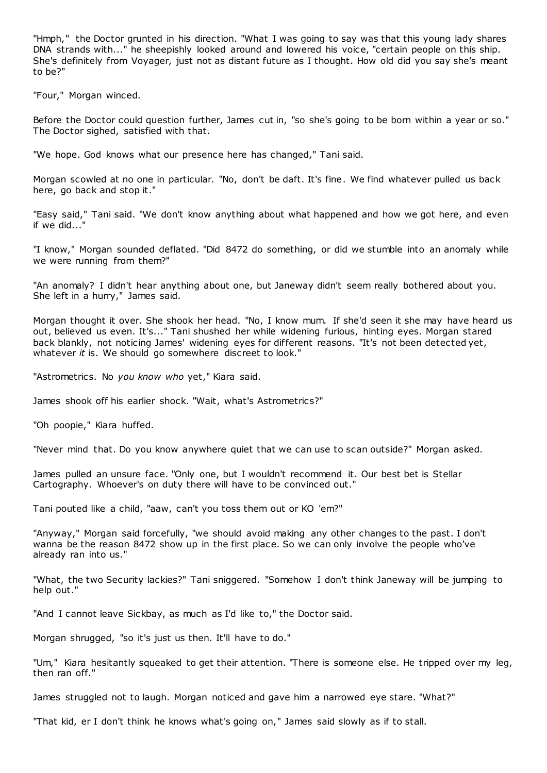"Hmph," the Doctor grunted in his direction. "What I was going to say was that this young lady shares DNA strands with..." he sheepishly looked around and lowered his voice, "certain people on this ship. She's definitely from Voyager, just not as distant future as I thought. How old did you say she's meant to be?"

"Four," Morgan winced.

Before the Doctor could question further, James cut in, "so she's going to be born within a year or so." The Doctor sighed, satisfied with that.

"We hope. God knows what our presence here has changed," Tani said.

Morgan scowled at no one in particular. "No, don't be daft. It's fine. We find whatever pulled us back here, go back and stop it."

"Easy said," Tani said. "We don't know anything about what happened and how we got here, and even if we did..."

"I know," Morgan sounded deflated. "Did 8472 do something, or did we stumble into an anomaly while we were running from them?"

"An anomaly? I didn't hear anything about one, but Janeway didn't seem really bothered about you. She left in a hurry," James said.

Morgan thought it over. She shook her head. "No, I know mum. If she'd seen it she may have heard us out, believed us even. It's..." Tani shushed her while widening furious, hinting eyes. Morgan stared back blankly, not noticing James' widening eyes for different reasons. "It's not been detected yet, whatever *it* is. We should go somewhere discreet to look."

"Astrometrics. No *you know who* yet," Kiara said.

James shook off his earlier shock. "Wait, what's Astrometrics?"

"Oh poopie," Kiara huffed.

"Never mind that. Do you know anywhere quiet that we can use to scan outside?" Morgan asked.

James pulled an unsure face. "Only one, but I wouldn't recommend it. Our best bet is Stellar Cartography. Whoever's on duty there will have to be convinced out."

Tani pouted like a child, "aaw, can't you toss them out or KO 'em?"

"Anyway," Morgan said forcefully, "we should avoid making any other changes to the past. I don't wanna be the reason 8472 show up in the first place. So we can only involve the people who've already ran into us."

"What, the two Security lackies?" Tani sniggered. "Somehow I don't think Janeway will be jumping to help out."

"And I cannot leave Sickbay, as much as I'd like to," the Doctor said.

Morgan shrugged, "so it's just us then. It'll have to do."

"Um," Kiara hesitantly squeaked to get their attention. "There is someone else. He tripped over my leg, then ran off."

James struggled not to laugh. Morgan noticed and gave him a narrowed eye stare. "What?"

"That kid, er I don't think he knows what's going on," James said slowly as if to stall.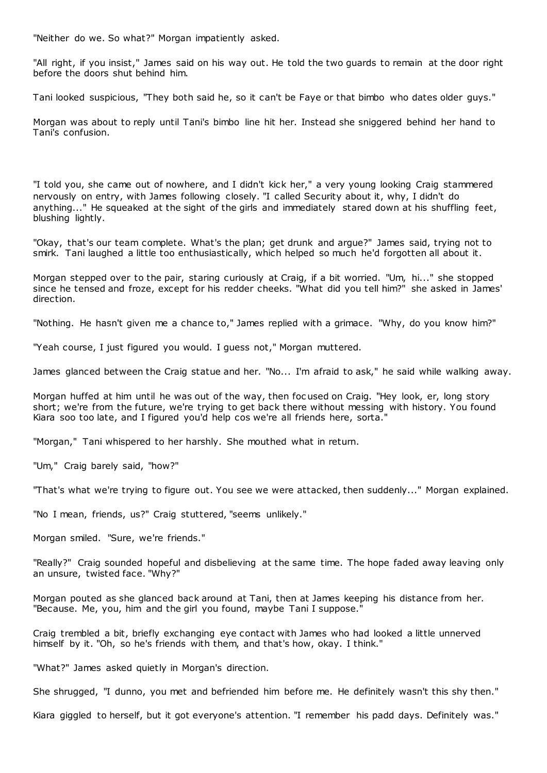"Neither do we. So what?" Morgan impatiently asked.

"All right, if you insist," James said on his way out. He told the two guards to remain at the door right before the doors shut behind him.

Tani looked suspicious, "They both said he, so it can't be Faye or that bimbo who dates older guys."

Morgan was about to reply until Tani's bimbo line hit her. Instead she sniggered behind her hand to Tani's confusion.

"I told you, she came out of nowhere, and I didn't kick her," a very young looking Craig stammered nervously on entry, with James following closely. "I called Security about it, why, I didn't do anything..." He squeaked at the sight of the girls and immediately stared down at his shuffling feet, blushing lightly.

"Okay, that's our team complete. What's the plan; get drunk and argue?" James said, trying not to smirk. Tani laughed a little too enthusiastically, which helped so much he'd forgotten all about it.

Morgan stepped over to the pair, staring curiously at Craig, if a bit worried. "Um, hi..." she stopped since he tensed and froze, except for his redder cheeks. "What did you tell him?" she asked in James' direction.

"Nothing. He hasn't given me a chance to," James replied with a grimace. "Why, do you know him?"

"Yeah course, I just figured you would. I guess not," Morgan muttered.

James glanced between the Craig statue and her. "No... I'm afraid to ask," he said while walking away.

Morgan huffed at him until he was out of the way, then foc used on Craig. "Hey look, er, long story short; we're from the future, we're trying to get back there without messing with history. You found Kiara soo too late, and I figured you'd help cos we're all friends here, sorta."

"Morgan," Tani whispered to her harshly. She mouthed what in return.

"Um," Craig barely said, "how?"

"That's what we're trying to figure out. You see we were attacked, then suddenly..." Morgan explained.

"No I mean, friends, us?" Craig stuttered, "seems unlikely."

Morgan smiled. "Sure, we're friends."

"Really?" Craig sounded hopeful and disbelieving at the same time. The hope faded away leaving only an unsure, twisted face. "Why?"

Morgan pouted as she glanced back around at Tani, then at James keeping his distance from her. "Because. Me, you, him and the girl you found, maybe Tani I suppose."

Craig trembled a bit, briefly exchanging eye contact with James who had looked a little unnerved himself by it. "Oh, so he's friends with them, and that's how, okay. I think."

"What?" James asked quietly in Morgan's direction.

She shrugged, "I dunno, you met and befriended him before me. He definitely wasn't this shy then."

Kiara giggled to herself, but it got everyone's attention. "I remember his padd days. Definitely was."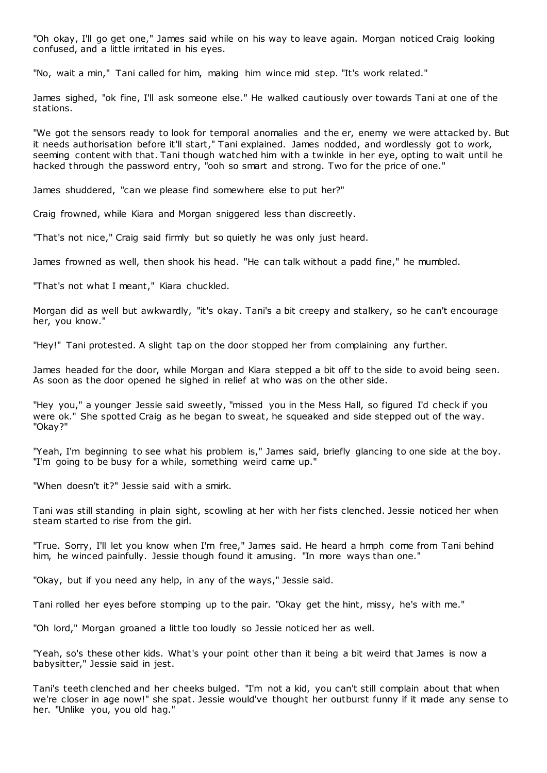"Oh okay, I'll go get one," James said while on his way to leave again. Morgan noticed Craig looking confused, and a little irritated in his eyes.

"No, wait a min," Tani called for him, making him wince mid step. "It's work related."

James sighed, "ok fine, I'll ask someone else." He walked cautiously over towards Tani at one of the stations.

"We got the sensors ready to look for temporal anomalies and the er, enemy we were attacked by. But it needs authorisation before it'll start," Tani explained. James nodded, and wordlessly got to work, seeming content with that. Tani though watched him with a twinkle in her eye, opting to wait until he hacked through the password entry, "ooh so smart and strong. Two for the price of one."

James shuddered, "can we please find somewhere else to put her?"

Craig frowned, while Kiara and Morgan sniggered less than discreetly.

"That's not nice," Craig said firmly but so quietly he was only just heard.

James frowned as well, then shook his head. "He can talk without a padd fine," he mumbled.

"That's not what I meant," Kiara chuckled.

Morgan did as well but awkwardly, "it's okay. Tani's a bit creepy and stalkery, so he can't encourage her, you know."

"Hey!" Tani protested. A slight tap on the door stopped her from complaining any further.

James headed for the door, while Morgan and Kiara stepped a bit off to the side to avoid being seen. As soon as the door opened he sighed in relief at who was on the other side.

"Hey you," a younger Jessie said sweetly, "missed you in the Mess Hall, so figured I'd check if you were ok." She spotted Craig as he began to sweat, he squeaked and side stepped out of the way. "Okay?"

"Yeah, I'm beginning to see what his problem is," James said, briefly glancing to one side at the boy. "I'm going to be busy for a while, something weird came up."

"When doesn't it?" Jessie said with a smirk.

Tani was still standing in plain sight, scowling at her with her fists clenched. Jessie noticed her when steam started to rise from the girl.

"True. Sorry, I'll let you know when I'm free," James said. He heard a hmph come from Tani behind him, he winced painfully. Jessie though found it amusing. "In more ways than one."

"Okay, but if you need any help, in any of the ways," Jessie said.

Tani rolled her eyes before stomping up to the pair. "Okay get the hint, missy, he's with me."

"Oh lord," Morgan groaned a little too loudly so Jessie noticed her as well.

"Yeah, so's these other kids. What's your point other than it being a bit weird that James is now a babysitter," Jessie said in jest.

Tani's teeth clenched and her cheeks bulged. "I'm not a kid, you can't still complain about that when we're closer in age now!" she spat. Jessie would've thought her outburst funny if it made any sense to her. "Unlike you, you old hag."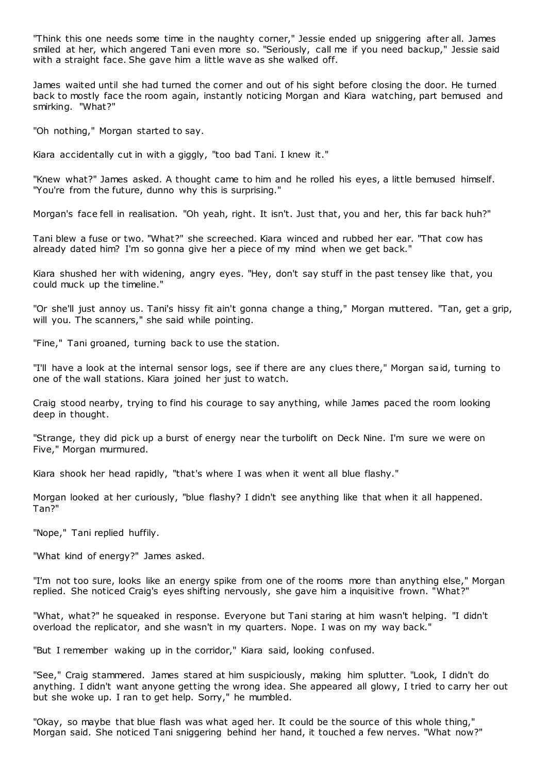"Think this one needs some time in the naughty corner," Jessie ended up sniggering after all. James smiled at her, which angered Tani even more so. "Seriously, call me if you need backup," Jessie said with a straight face. She gave him a little wave as she walked off.

James waited until she had turned the corner and out of his sight before closing the door. He turned back to mostly face the room again, instantly noticing Morgan and Kiara watching, part bemused and smirking. "What?"

"Oh nothing," Morgan started to say.

Kiara accidentally cut in with a giggly, "too bad Tani. I knew it."

"Knew what?" James asked. A thought came to him and he rolled his eyes, a little bemused himself. "You're from the future, dunno why this is surprising."

Morgan's face fell in realisation. "Oh yeah, right. It isn't. Just that, you and her, this far back huh?"

Tani blew a fuse or two. "What?" she screeched. Kiara winced and rubbed her ear. "That cow has already dated him? I'm so gonna give her a piece of my mind when we get back."

Kiara shushed her with widening, angry eyes. "Hey, don't say stuff in the past tensey like that, you could muck up the timeline."

"Or she'll just annoy us. Tani's hissy fit ain't gonna change a thing," Morgan muttered. "Tan, get a grip, will you. The scanners," she said while pointing.

"Fine," Tani groaned, turning back to use the station.

"I'll have a look at the internal sensor logs, see if there are any clues there," Morgan said, turning to one of the wall stations. Kiara joined her just to watch.

Craig stood nearby, trying to find his courage to say anything, while James paced the room looking deep in thought.

"Strange, they did pick up a burst of energy near the turbolift on Deck Nine. I'm sure we were on Five," Morgan murmured.

Kiara shook her head rapidly, "that's where I was when it went all blue flashy."

Morgan looked at her curiously, "blue flashy? I didn't see anything like that when it all happened. Tan?"

"Nope," Tani replied huffily.

"What kind of energy?" James asked.

"I'm not too sure, looks like an energy spike from one of the rooms more than anything else," Morgan replied. She noticed Craig's eyes shifting nervously, she gave him a inquisitive frown. "What?"

"What, what?" he squeaked in response. Everyone but Tani staring at him wasn't helping. "I didn't overload the replicator, and she wasn't in my quarters. Nope. I was on my way back."

"But I remember waking up in the corridor," Kiara said, looking confused.

"See," Craig stammered. James stared at him suspiciously, making him splutter. "Look, I didn't do anything. I didn't want anyone getting the wrong idea. She appeared all glowy, I tried to carry her out but she woke up. I ran to get help. Sorry," he mumbled.

"Okay, so maybe that blue flash was what aged her. It could be the source of this whole thing," Morgan said. She noticed Tani sniggering behind her hand, it touched a few nerves. "What now?"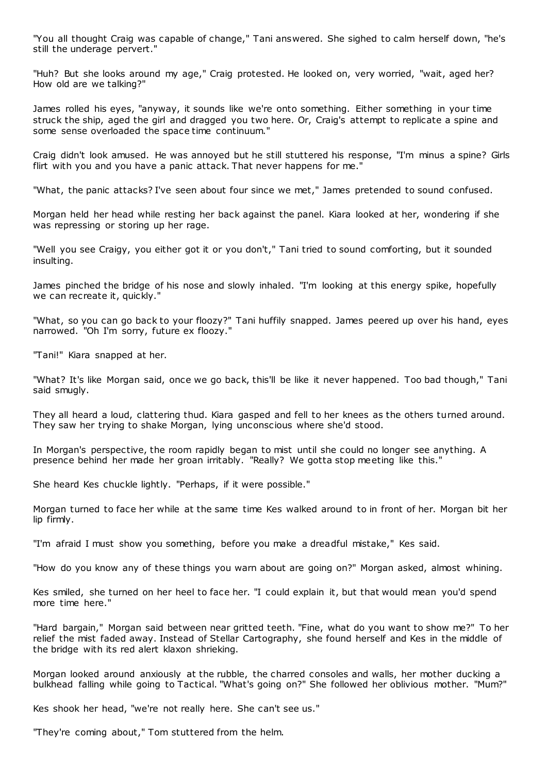"You all thought Craig was capable of change," Tani answered. She sighed to calm herself down, "he's still the underage pervert."

"Huh? But she looks around my age," Craig protested. He looked on, very worried, "wait, aged her? How old are we talking?"

James rolled his eyes, "anyway, it sounds like we're onto something. Either something in your time struck the ship, aged the girl and dragged you two here. Or, Craig's attempt to replicate a spine and some sense overloaded the space time continuum."

Craig didn't look amused. He was annoyed but he still stuttered his response, "I'm minus a spine? Girls flirt with you and you have a panic attack. That never happens for me."

"What, the panic attacks? I've seen about four since we met," James pretended to sound confused.

Morgan held her head while resting her back against the panel. Kiara looked at her, wondering if she was repressing or storing up her rage.

"Well you see Craigy, you either got it or you don't," Tani tried to sound comforting, but it sounded insulting.

James pinched the bridge of his nose and slowly inhaled. "I'm looking at this energy spike, hopefully we can recreate it, quickly."

"What, so you can go back to your floozy?" Tani huffily snapped. James peered up over his hand, eyes narrowed. "Oh I'm sorry, future ex floozy."

"Tani!" Kiara snapped at her.

"What? It's like Morgan said, once we go back, this'll be like it never happened. Too bad though," Tani said smugly.

They all heard a loud, clattering thud. Kiara gasped and fell to her knees as the others turned around. They saw her trying to shake Morgan, lying unconscious where she'd stood.

In Morgan's perspective, the room rapidly began to mist until she could no longer see anything. A presence behind her made her groan irritably. "Really? We gotta stop meeting like this."

She heard Kes chuckle lightly. "Perhaps, if it were possible."

Morgan turned to face her while at the same time Kes walked around to in front of her. Morgan bit her lip firmly.

"I'm afraid I must show you something, before you make a dreadful mistake," Kes said.

"How do you know any of these things you warn about are going on?" Morgan asked, almost whining.

Kes smiled, she turned on her heel to face her. "I could explain it, but that would mean you'd spend more time here."

"Hard bargain," Morgan said between near gritted teeth. "Fine, what do you want to show me?" To her relief the mist faded away. Instead of Stellar Cartography, she found herself and Kes in the middle of the bridge with its red alert klaxon shrieking.

Morgan looked around anxiously at the rubble, the charred consoles and walls, her mother ducking a bulkhead falling while going to Tactical. "What's going on?" She followed her oblivious mother. "Mum?"

Kes shook her head, "we're not really here. She can't see us."

"They're coming about," Tom stuttered from the helm.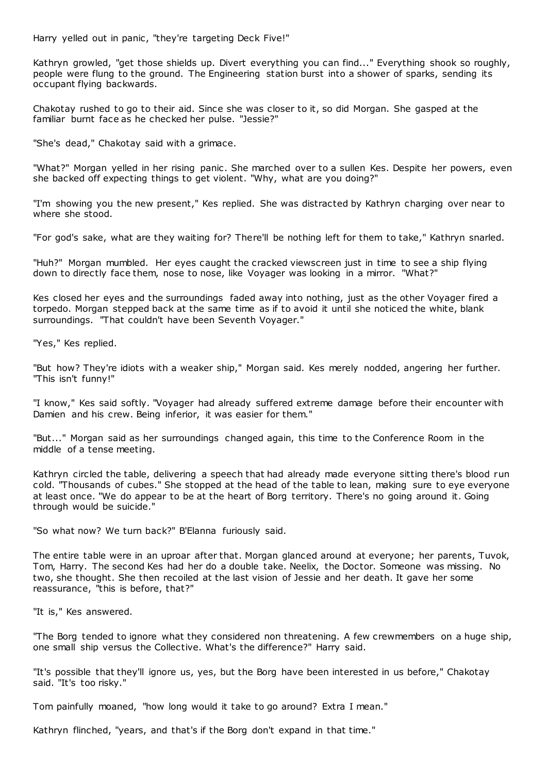Harry yelled out in panic, "they're targeting Deck Five!"

Kathryn growled, "get those shields up. Divert everything you can find..." Everything shook so roughly, people were flung to the ground. The Engineering station burst into a shower of sparks, sending its occupant flying backwards.

Chakotay rushed to go to their aid. Since she was closer to it, so did Morgan. She gasped at the familiar burnt face as he checked her pulse. "Jessie?"

"She's dead," Chakotay said with a grimace.

"What?" Morgan yelled in her rising panic. She marched over to a sullen Kes. Despite her powers, even she backed off expecting things to get violent. "Why, what are you doing?"

"I'm showing you the new present," Kes replied. She was distracted by Kathryn charging over near to where she stood.

"For god's sake, what are they waiting for? There'll be nothing left for them to take," Kathryn snarled.

"Huh?" Morgan mumbled. Her eyes caught the cracked viewscreen just in time to see a ship flying down to directly face them, nose to nose, like Voyager was looking in a mirror. "What?"

Kes closed her eyes and the surroundings faded away into nothing, just as the other Voyager fired a torpedo. Morgan stepped back at the same time as if to avoid it until she noticed the white, blank surroundings. "That couldn't have been Seventh Voyager."

"Yes," Kes replied.

"But how? They're idiots with a weaker ship," Morgan said. Kes merely nodded, angering her further. "This isn't funny!"

"I know," Kes said softly. "Voyager had already suffered extreme damage before their encounter with Damien and his crew. Being inferior, it was easier for them."

"But..." Morgan said as her surroundings changed again, this time to the Conference Room in the middle of a tense meeting.

Kathryn circled the table, delivering a speech that had already made everyone sitting there's blood run cold. "Thousands of cubes." She stopped at the head of the table to lean, making sure to eye everyone at least once. "We do appear to be at the heart of Borg territory. There's no going around it. Going through would be suicide."

"So what now? We turn back?" B'Elanna furiously said.

The entire table were in an uproar after that. Morgan glanced around at everyone; her parents, Tuvok, Tom, Harry. The second Kes had her do a double take. Neelix, the Doctor. Someone was missing. No two, she thought. She then recoiled at the last vision of Jessie and her death. It gave her some reassurance, "this is before, that?"

"It is," Kes answered.

"The Borg tended to ignore what they considered non threatening. A few crewmembers on a huge ship, one small ship versus the Collective. What's the difference?" Harry said.

"It's possible that they'll ignore us, yes, but the Borg have been interested in us before," Chakotay said. "It's too risky."

Tom painfully moaned, "how long would it take to go around? Extra I mean."

Kathryn flinched, "years, and that's if the Borg don't expand in that time."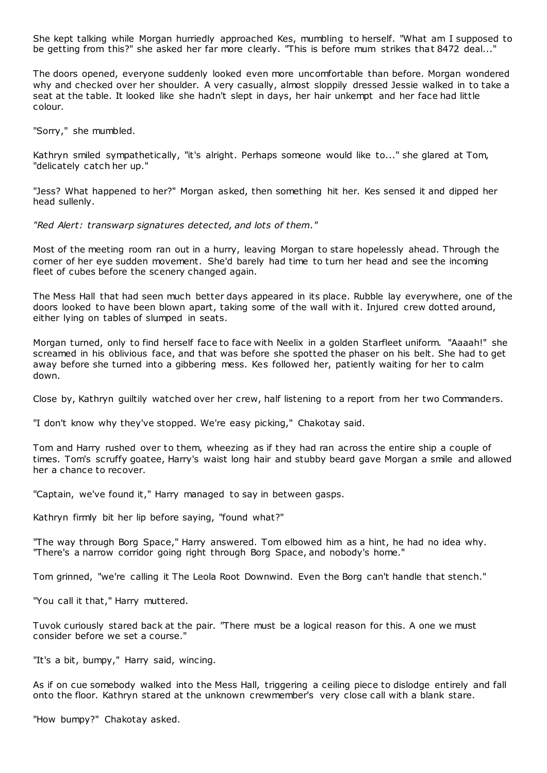She kept talking while Morgan hurriedly approached Kes, mumbling to herself. "What am I supposed to be getting from this?" she asked her far more clearly. "This is before mum strikes that 8472 deal..."

The doors opened, everyone suddenly looked even more uncomfortable than before. Morgan wondered why and checked over her shoulder. A very casually, almost sloppily dressed Jessie walked in to take a seat at the table. It looked like she hadn't slept in days, her hair unkempt and her face had little colour.

"Sorry," she mumbled.

Kathryn smiled sympathetically, "it's alright. Perhaps someone would like to..." she glared at Tom, "delicately catch her up."

"Jess? What happened to her?" Morgan asked, then something hit her. Kes sensed it and dipped her head sullenly.

*"Red Alert: transwarp signatures detected, and lots of them."*

Most of the meeting room ran out in a hurry, leaving Morgan to stare hopelessly ahead. Through the corner of her eye sudden movement. She'd barely had time to turn her head and see the incoming fleet of cubes before the scenery changed again.

The Mess Hall that had seen much better days appeared in its place. Rubble lay everywhere, one of the doors looked to have been blown apart, taking some of the wall with it. Injured crew dotted around, either lying on tables of slumped in seats.

Morgan turned, only to find herself face to face with Neelix in a golden Starfleet uniform. "Aaaah!" she screamed in his oblivious face, and that was before she spotted the phaser on his belt. She had to get away before she turned into a gibbering mess. Kes followed her, patiently waiting for her to calm down.

Close by, Kathryn guiltily watched over her crew, half listening to a report from her two Commanders.

"I don't know why they've stopped. We're easy picking," Chakotay said.

Tom and Harry rushed over to them, wheezing as if they had ran across the entire ship a couple of times. Tom's scruffy goatee, Harry's waist long hair and stubby beard gave Morgan a smile and allowed her a chance to recover.

"Captain, we've found it," Harry managed to say in between gasps.

Kathryn firmly bit her lip before saying, "found what?"

"The way through Borg Space," Harry answered. Tom elbowed him as a hint, he had no idea why. "There's a narrow corridor going right through Borg Space, and nobody's home."

Tom grinned, "we're calling it The Leola Root Downwind. Even the Borg can't handle that stench."

"You call it that," Harry muttered.

Tuvok curiously stared back at the pair. "There must be a logical reason for this. A one we must consider before we set a course."

"It's a bit, bumpy," Harry said, wincing.

As if on cue somebody walked into the Mess Hall, triggering a ceiling piece to dislodge entirely and fall onto the floor. Kathryn stared at the unknown crewmember's very close call with a blank stare.

"How bumpy?" Chakotay asked.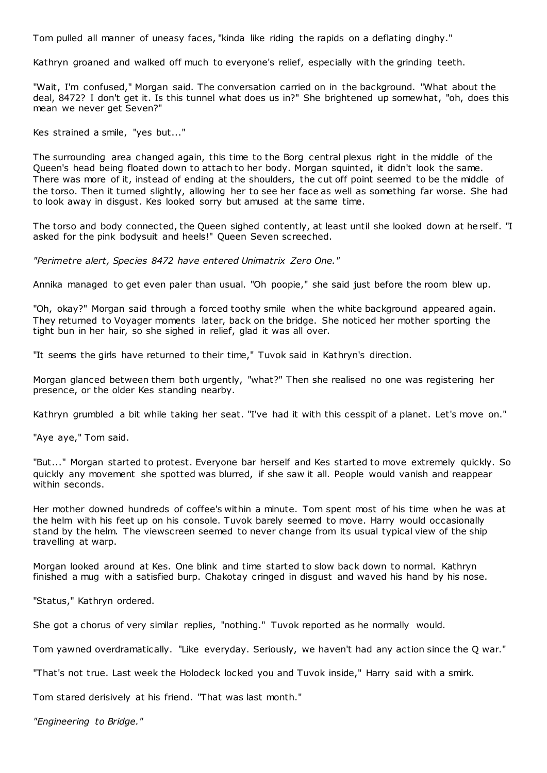Tom pulled all manner of uneasy faces, "kinda like riding the rapids on a deflating dinghy."

Kathryn groaned and walked off much to everyone's relief, especially with the grinding teeth.

"Wait, I'm confused," Morgan said. The conversation carried on in the background. "What about the deal, 8472? I don't get it. Is this tunnel what does us in?" She brightened up somewhat, "oh, does this mean we never get Seven?"

Kes strained a smile, "yes but..."

The surrounding area changed again, this time to the Borg central plexus right in the middle of the Queen's head being floated down to attach to her body. Morgan squinted, it didn't look the same. There was more of it, instead of ending at the shoulders, the cut off point seemed to be the middle of the torso. Then it turned slightly, allowing her to see her face as well as something far worse. She had to look away in disgust. Kes looked sorry but amused at the same time.

The torso and body connected, the Queen sighed contently, at least until she looked down at herself. "I asked for the pink bodysuit and heels!" Queen Seven screeched.

*"Perimetre alert, Species 8472 have entered Unimatrix Zero One."*

Annika managed to get even paler than usual. "Oh poopie," she said just before the room blew up.

"Oh, okay?" Morgan said through a forced toothy smile when the white background appeared again. They returned to Voyager moments later, back on the bridge. She noticed her mother sporting the tight bun in her hair, so she sighed in relief, glad it was all over.

"It seems the girls have returned to their time," Tuvok said in Kathryn's direction.

Morgan glanced between them both urgently, "what?" Then she realised no one was registering her presence, or the older Kes standing nearby.

Kathryn grumbled a bit while taking her seat. "I've had it with this cesspit of a planet. Let's move on."

"Aye aye," Tom said.

"But..." Morgan started to protest. Everyone bar herself and Kes started to move extremely quickly. So quickly any movement she spotted was blurred, if she saw it all. People would vanish and reappear within seconds.

Her mother downed hundreds of coffee's within a minute. Tom spent most of his time when he was at the helm with his feet up on his console. Tuvok barely seemed to move. Harry would occasionally stand by the helm. The viewscreen seemed to never change from its usual typical view of the ship travelling at warp.

Morgan looked around at Kes. One blink and time started to slow back down to normal. Kathryn finished a mug with a satisfied burp. Chakotay cringed in disgust and waved his hand by his nose.

"Status," Kathryn ordered.

She got a chorus of very similar replies, "nothing." Tuvok reported as he normally would.

Tom yawned overdramatically. "Like everyday. Seriously, we haven't had any action since the Q war."

"That's not true. Last week the Holodeck locked you and Tuvok inside," Harry said with a smirk.

Tom stared derisively at his friend. "That was last month."

*"Engineering to Bridge."*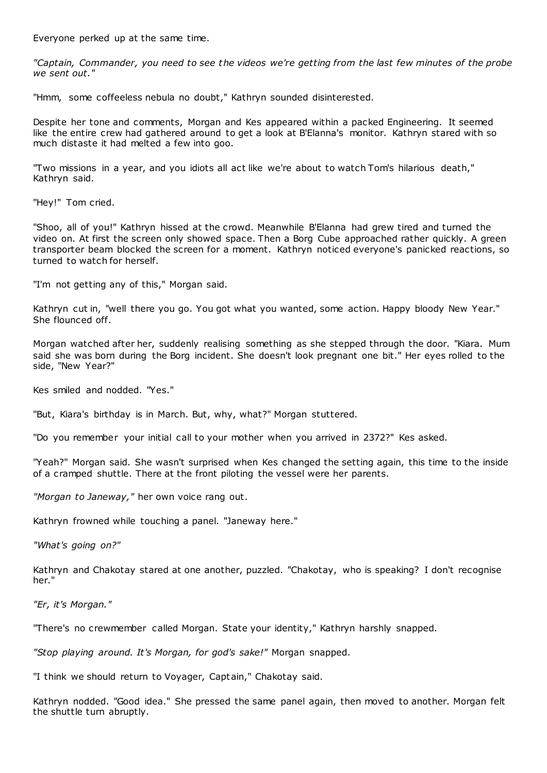Everyone perked up at the same time.

*"Captain, Commander, you need to see the videos we're getting from the last few minutes of the probe we sent out."*

"Hmm, some coffeeless nebula no doubt," Kathryn sounded disinterested.

Despite her tone and comments, Morgan and Kes appeared within a packed Engineering. It seemed like the entire crew had gathered around to get a look at B'Elanna's monitor. Kathryn stared with so much distaste it had melted a few into goo.

"Two missions in a year, and you idiots all act like we're about to watch Tom's hilarious death," Kathryn said.

"Hey!" Tom cried.

"Shoo, all of you!" Kathryn hissed at the crowd. Meanwhile B'Elanna had grew tired and turned the video on. At first the screen only showed space. Then a Borg Cube approached rather quickly. A green transporter beam blocked the screen for a moment. Kathryn noticed everyone's panicked reactions, so turned to watch for herself.

"I'm not getting any of this," Morgan said.

Kathryn cut in, "well there you go. You got what you wanted, some action. Happy bloody New Year." She flounced off.

Morgan watched after her, suddenly realising something as she stepped through the door. "Kiara. Mum said she was born during the Borg incident. She doesn't look pregnant one bit." Her eyes rolled to the side, "New Year?"

Kes smiled and nodded. "Yes."

"But, Kiara's birthday is in March. But, why, what?" Morgan stuttered.

"Do you remember your initial call to your mother when you arrived in 2372?" Kes asked.

"Yeah?" Morgan said. She wasn't surprised when Kes changed the setting again, this time to the inside of a cramped shuttle. There at the front piloting the vessel were her parents.

*"Morgan to Janeway,"* her own voice rang out.

Kathryn frowned while touching a panel. "Janeway here."

*"What's going on?"*

Kathryn and Chakotay stared at one another, puzzled. "Chakotay, who is speaking? I don't recognise her."

*"Er, it's Morgan."*

"There's no crewmember called Morgan. State your identity," Kathryn harshly snapped.

*"Stop playing around. It's Morgan, for god's sake!"* Morgan snapped.

"I think we should return to Voyager, Captain," Chakotay said.

Kathryn nodded. "Good idea." She pressed the same panel again, then moved to another. Morgan felt the shuttle turn abruptly.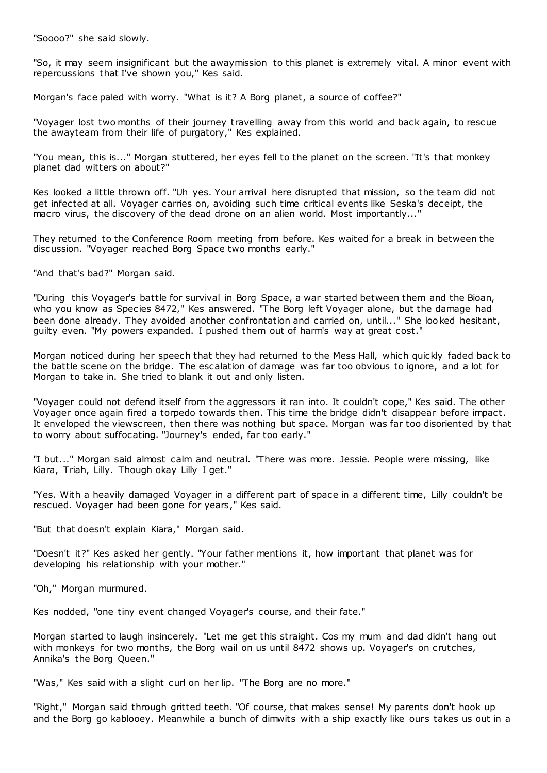"Soooo?" she said slowly.

"So, it may seem insignificant but the awaymission to this planet is extremely vital. A minor event with repercussions that I've shown you," Kes said.

Morgan's face paled with worry. "What is it? A Borg planet, a source of coffee?"

"Voyager lost two months of their journey travelling away from this world and back again, to rescue the awayteam from their life of purgatory," Kes explained.

"You mean, this is..." Morgan stuttered, her eyes fell to the planet on the screen. "It's that monkey planet dad witters on about?"

Kes looked a little thrown off. "Uh yes. Your arrival here disrupted that mission, so the team did not get infected at all. Voyager carries on, avoiding such time critical events like Seska's deceipt, the macro virus, the discovery of the dead drone on an alien world. Most importantly..."

They returned to the Conference Room meeting from before. Kes waited for a break in between the discussion. "Voyager reached Borg Space two months early."

"And that's bad?" Morgan said.

"During this Voyager's battle for survival in Borg Space, a war started between them and the Bioan, who you know as Species 8472," Kes answered. "The Borg left Voyager alone, but the damage had been done already. They avoided another confrontation and carried on, until..." She looked hesitant, guilty even. "My powers expanded. I pushed them out of harm's way at great cost."

Morgan noticed during her speech that they had returned to the Mess Hall, which quickly faded back to the battle scene on the bridge. The escalation of damage was far too obvious to ignore, and a lot for Morgan to take in. She tried to blank it out and only listen.

"Voyager could not defend itself from the aggressors it ran into. It couldn't cope," Kes said. The other Voyager once again fired a torpedo towards then. This time the bridge didn't disappear before impact. It enveloped the viewscreen, then there was nothing but space. Morgan was far too disoriented by that to worry about suffocating. "Journey's ended, far too early."

"I but..." Morgan said almost calm and neutral. "There was more. Jessie. People were missing, like Kiara, Triah, Lilly. Though okay Lilly I get."

"Yes. With a heavily damaged Voyager in a different part of space in a different time, Lilly couldn't be rescued. Voyager had been gone for years," Kes said.

"But that doesn't explain Kiara," Morgan said.

"Doesn't it?" Kes asked her gently. "Your father mentions it, how important that planet was for developing his relationship with your mother."

"Oh," Morgan murmured.

Kes nodded, "one tiny event changed Voyager's course, and their fate."

Morgan started to laugh insincerely. "Let me get this straight. Cos my mum and dad didn't hang out with monkeys for two months, the Borg wail on us until 8472 shows up. Voyager's on crutches, Annika's the Borg Queen."

"Was," Kes said with a slight curl on her lip. "The Borg are no more."

"Right," Morgan said through gritted teeth. "Of course, that makes sense! My parents don't hook up and the Borg go kablooey. Meanwhile a bunch of dimwits with a ship exactly like ours takes us out in a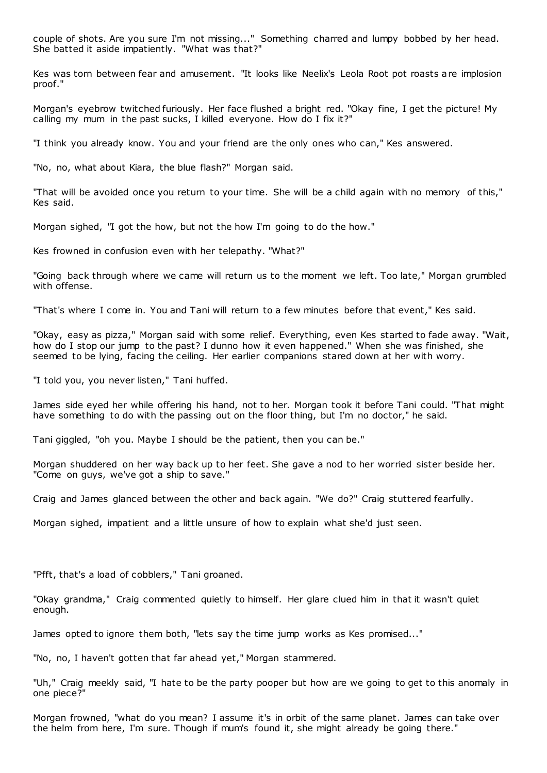couple of shots. Are you sure I'm not missing..." Something charred and lumpy bobbed by her head. She batted it aside impatiently. "What was that?"

Kes was torn between fear and amusement. "It looks like Neelix's Leola Root pot roasts are implosion proof."

Morgan's eyebrow twitched furiously. Her face flushed a bright red. "Okay fine, I get the picture! My calling my mum in the past sucks, I killed everyone. How do I fix it?"

"I think you already know. You and your friend are the only ones who can," Kes answered.

"No, no, what about Kiara, the blue flash?" Morgan said.

"That will be avoided once you return to your time. She will be a child again with no memory of this," Kes said.

Morgan sighed, "I got the how, but not the how I'm going to do the how."

Kes frowned in confusion even with her telepathy. "What?"

"Going back through where we came will return us to the moment we left. Too late," Morgan grumbled with offense.

"That's where I come in. You and Tani will return to a few minutes before that event," Kes said.

"Okay, easy as pizza," Morgan said with some relief. Everything, even Kes started to fade away. "Wait, how do I stop our jump to the past? I dunno how it even happened." When she was finished, she seemed to be lying, facing the ceiling. Her earlier companions stared down at her with worry.

"I told you, you never listen," Tani huffed.

James side eyed her while offering his hand, not to her. Morgan took it before Tani could. "That might have something to do with the passing out on the floor thing, but I'm no doctor," he said.

Tani giggled, "oh you. Maybe I should be the patient, then you can be."

Morgan shuddered on her way back up to her feet. She gave a nod to her worried sister beside her. "Come on guys, we've got a ship to save."

Craig and James glanced between the other and back again. "We do?" Craig stuttered fearfully.

Morgan sighed, impatient and a little unsure of how to explain what she'd just seen.

"Pfft, that's a load of cobblers," Tani groaned.

"Okay grandma," Craig commented quietly to himself. Her glare clued him in that it wasn't quiet enough.

James opted to ignore them both, "lets say the time jump works as Kes promised..."

"No, no, I haven't gotten that far ahead yet," Morgan stammered.

"Uh," Craig meekly said, "I hate to be the party pooper but how are we going to get to this anomaly in one piece?"

Morgan frowned, "what do you mean? I assume it's in orbit of the same planet. James can take over the helm from here, I'm sure. Though if mum's found it, she might already be going there."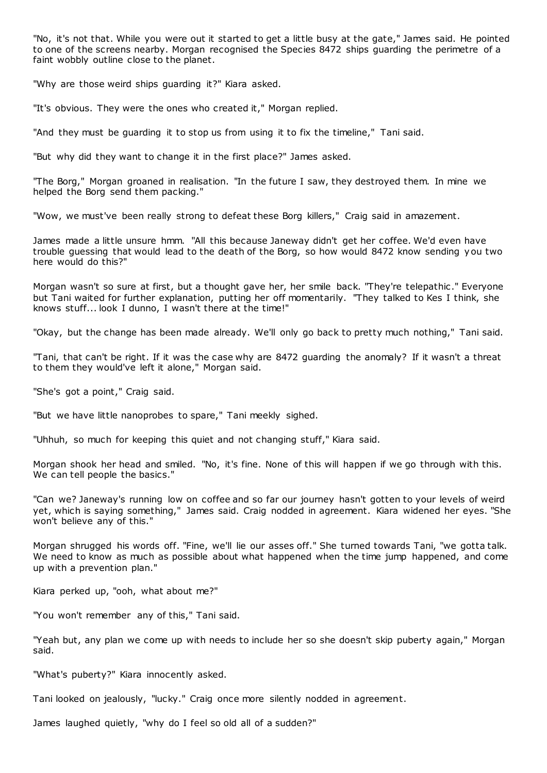"No, it's not that. While you were out it started to get a little busy at the gate," James said. He pointed to one of the screens nearby. Morgan recognised the Species 8472 ships guarding the perimetre of a faint wobbly outline close to the planet.

"Why are those weird ships guarding it?" Kiara asked.

"It's obvious. They were the ones who created it," Morgan replied.

"And they must be guarding it to stop us from using it to fix the timeline," Tani said.

"But why did they want to change it in the first place?" James asked.

"The Borg," Morgan groaned in realisation. "In the future I saw, they destroyed them. In mine we helped the Borg send them packing."

"Wow, we must've been really strong to defeat these Borg killers," Craig said in amazement.

James made a little unsure hmm. "All this because Janeway didn't get her coffee. We'd even have trouble guessing that would lead to the death of the Borg, so how would 8472 know sending you two here would do this?"

Morgan wasn't so sure at first, but a thought gave her, her smile back. "They're telepathic ." Everyone but Tani waited for further explanation, putting her off momentarily. "They talked to Kes I think, she knows stuff... look I dunno, I wasn't there at the time!"

"Okay, but the change has been made already. We'll only go back to pretty much nothing," Tani said.

"Tani, that can't be right. If it was the case why are 8472 guarding the anomaly? If it wasn't a threat to them they would've left it alone," Morgan said.

"She's got a point," Craig said.

"But we have little nanoprobes to spare," Tani meekly sighed.

"Uhhuh, so much for keeping this quiet and not changing stuff," Kiara said.

Morgan shook her head and smiled. "No, it's fine. None of this will happen if we go through with this. We can tell people the basics."

"Can we? Janeway's running low on coffee and so far our journey hasn't gotten to your levels of weird yet, which is saying something," James said. Craig nodded in agreement. Kiara widened her eyes. "She won't believe any of this."

Morgan shrugged his words off. "Fine, we'll lie our asses off." She turned towards Tani, "we gotta talk. We need to know as much as possible about what happened when the time jump happened, and come up with a prevention plan."

Kiara perked up, "ooh, what about me?"

"You won't remember any of this," Tani said.

"Yeah but, any plan we come up with needs to include her so she doesn't skip puberty again," Morgan said.

"What's puberty?" Kiara innocently asked.

Tani looked on jealously, "lucky." Craig once more silently nodded in agreement.

James laughed quietly, "why do I feel so old all of a sudden?"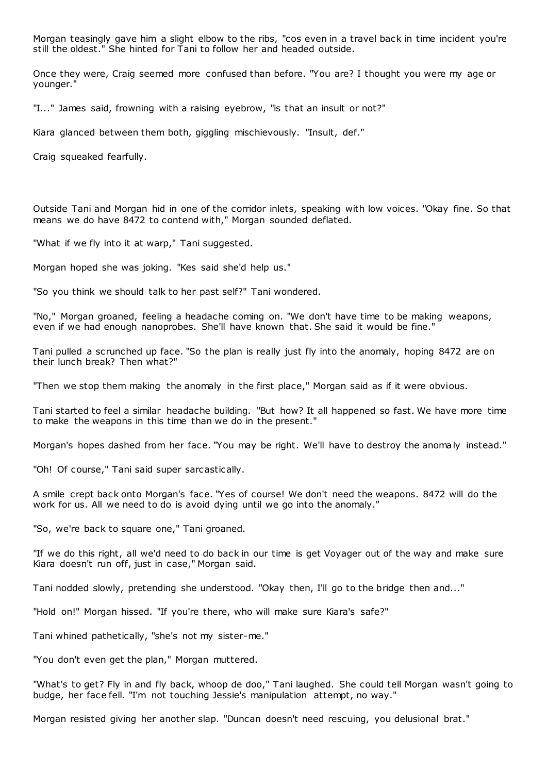Morgan teasingly gave him a slight elbow to the ribs, "cos even in a travel back in time incident you're still the oldest." She hinted for Tani to follow her and headed outside.

Once they were, Craig seemed more confused than before. "You are? I thought you were my age or younger."

"I..." James said, frowning with a raising eyebrow, "is that an insult or not?"

Kiara glanced between them both, giggling mischievously. "Insult, def."

Craig squeaked fearfully.

Outside Tani and Morgan hid in one of the corridor inlets, speaking with low voices. "Okay fine. So that means we do have 8472 to contend with," Morgan sounded deflated.

"What if we fly into it at warp," Tani suggested.

Morgan hoped she was joking. "Kes said she'd help us."

"So you think we should talk to her past self?" Tani wondered.

"No," Morgan groaned, feeling a headache coming on. "We don't have time to be making weapons, even if we had enough nanoprobes. She'll have known that. She said it would be fine."

Tani pulled a scrunched up face. "So the plan is really just fly into the anomaly, hoping 8472 are on their lunch break? Then what?"

"Then we stop them making the anomaly in the first place," Morgan said as if it were obvious.

Tani started to feel a similar headache building. "But how? It all happened so fast. We have more time to make the weapons in this time than we do in the present."

Morgan's hopes dashed from her face. "You may be right. We'll have to destroy the anomaly instead."

"Oh! Of course," Tani said super sarcastically.

A smile crept back onto Morgan's face. "Yes of course! We don't need the weapons. 8472 will do the work for us. All we need to do is avoid dying until we go into the anomaly."

"So, we're back to square one," Tani groaned.

"If we do this right, all we'd need to do back in our time is get Voyager out of the way and make sure Kiara doesn't run off, just in case," Morgan said.

Tani nodded slowly, pretending she understood. "Okay then, I'll go to the bridge then and..."

"Hold on!" Morgan hissed. "If you're there, who will make sure Kiara's safe?"

Tani whined pathetically, "she's not my sister-me."

"You don't even get the plan," Morgan muttered.

"What's to get? Fly in and fly back, whoop de doo," Tani laughed. She could tell Morgan wasn't going to budge, her face fell. "I'm not touching Jessie's manipulation attempt, no way."

Morgan resisted giving her another slap. "Duncan doesn't need rescuing, you delusional brat."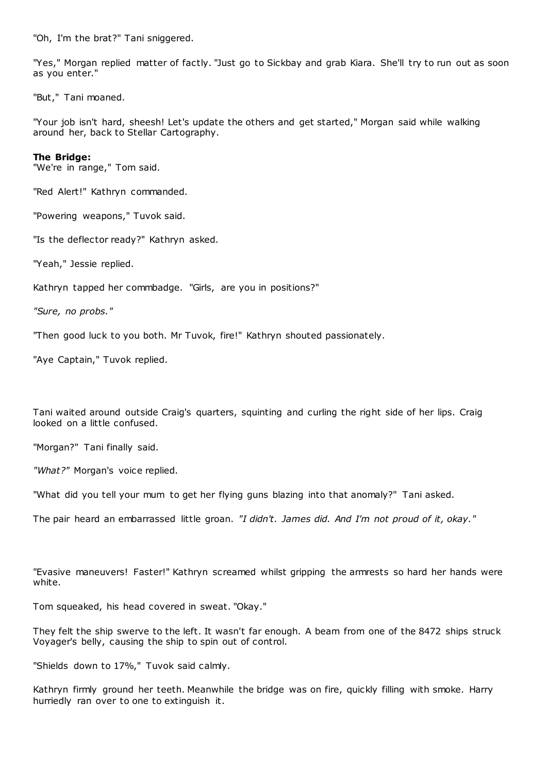"Oh, I'm the brat?" Tani sniggered.

"Yes," Morgan replied matter of factly. "Just go to Sickbay and grab Kiara. She'll try to run out as soon as you enter."

"But," Tani moaned.

"Your job isn't hard, sheesh! Let's update the others and get started," Morgan said while walking around her, back to Stellar Cartography.

### **The Bridge:**

"We're in range," Tom said.

"Red Alert!" Kathryn commanded.

"Powering weapons," Tuvok said.

"Is the deflector ready?" Kathryn asked.

"Yeah," Jessie replied.

Kathryn tapped her commbadge. "Girls, are you in positions?"

*"Sure, no probs."*

"Then good luck to you both. Mr Tuvok, fire!" Kathryn shouted passionately.

"Aye Captain," Tuvok replied.

Tani waited around outside Craig's quarters, squinting and curling the right side of her lips. Craig looked on a little confused.

"Morgan?" Tani finally said.

*"What?"* Morgan's voice replied.

"What did you tell your mum to get her flying guns blazing into that anomaly?" Tani asked.

The pair heard an embarrassed little groan. *"I didn't. James did. And I'm not proud of it, okay."*

"Evasive maneuvers! Faster!" Kathryn screamed whilst gripping the armrests so hard her hands were white.

Tom squeaked, his head covered in sweat. "Okay."

They felt the ship swerve to the left. It wasn't far enough. A beam from one of the 8472 ships struck Voyager's belly, causing the ship to spin out of control.

"Shields down to 17%," Tuvok said calmly.

Kathryn firmly ground her teeth. Meanwhile the bridge was on fire, quickly filling with smoke. Harry hurriedly ran over to one to extinguish it.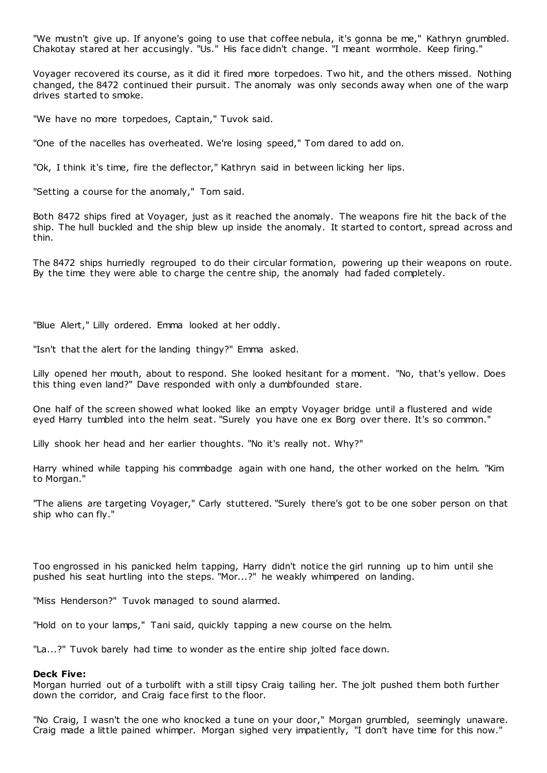"We mustn't give up. If anyone's going to use that coffee nebula, it's gonna be me," Kathryn grumbled. Chakotay stared at her accusingly. "Us." His face didn't change. "I meant wormhole. Keep firing."

Voyager recovered its course, as it did it fired more torpedoes. Two hit, and the others missed. Nothing changed, the 8472 continued their pursuit. The anomaly was only seconds away when one of the warp drives started to smoke.

"We have no more torpedoes, Captain," Tuvok said.

"One of the nacelles has overheated. We're losing speed," Tom dared to add on.

"Ok, I think it's time, fire the deflector," Kathryn said in between licking her lips.

"Setting a course for the anomaly," Tom said.

Both 8472 ships fired at Voyager, just as it reached the anomaly. The weapons fire hit the back of the ship. The hull buckled and the ship blew up inside the anomaly. It started to contort, spread across and thin.

The 8472 ships hurriedly regrouped to do their circular formation, powering up their weapons on route. By the time they were able to charge the centre ship, the anomaly had faded completely.

"Blue Alert," Lilly ordered. Emma looked at her oddly.

"Isn't that the alert for the landing thingy?" Emma asked.

Lilly opened her mouth, about to respond. She looked hesitant for a moment. "No, that's yellow. Does this thing even land?" Dave responded with only a dumbfounded stare.

One half of the screen showed what looked like an empty Voyager bridge until a flustered and wide eyed Harry tumbled into the helm seat. "Surely you have one ex Borg over there. It's so common."

Lilly shook her head and her earlier thoughts. "No it's really not. Why?"

Harry whined while tapping his commbadge again with one hand, the other worked on the helm. "Kim to Morgan."

"The aliens are targeting Voyager," Carly stuttered. "Surely there's got to be one sober person on that ship who can fly."

Too engrossed in his panicked helm tapping, Harry didn't notice the girl running up to him until she pushed his seat hurtling into the steps. "Mor...?" he weakly whimpered on landing.

"Miss Henderson?" Tuvok managed to sound alarmed.

"Hold on to your lamps," Tani said, quickly tapping a new course on the helm.

"La...?" Tuvok barely had time to wonder as the entire ship jolted face down.

#### **Deck Five:**

Morgan hurried out of a turbolift with a still tipsy Craig tailing her. The jolt pushed them both further down the corridor, and Craig face first to the floor.

"No Craig, I wasn't the one who knocked a tune on your door," Morgan grumbled, seemingly unaware. Craig made a little pained whimper. Morgan sighed very impatiently, "I don't have time for this now."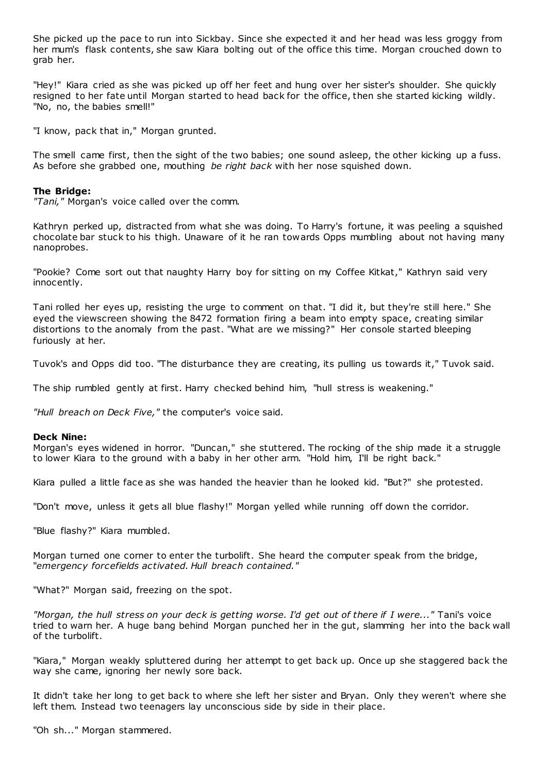She picked up the pace to run into Sickbay. Since she expected it and her head was less groggy from her mum's flask contents, she saw Kiara bolting out of the office this time. Morgan crouched down to grab her.

"Hey!" Kiara cried as she was picked up off her feet and hung over her sister's shoulder. She quickly resigned to her fate until Morgan started to head back for the office, then she started kicking wildly. "No, no, the babies smell!"

"I know, pack that in," Morgan grunted.

The smell came first, then the sight of the two babies; one sound asleep, the other kicking up a fuss. As before she grabbed one, mouthing *be right back* with her nose squished down.

### **The Bridge:**

*"Tani,"* Morgan's voice called over the comm.

Kathryn perked up, distracted from what she was doing. To Harry's fortune, it was peeling a squished chocolate bar stuck to his thigh. Unaware of it he ran towards Opps mumbling about not having many nanoprobes.

"Pookie? Come sort out that naughty Harry boy for sitting on my Coffee Kitkat," Kathryn said very innocently.

Tani rolled her eyes up, resisting the urge to comment on that. "I did it, but they're still here." She eyed the viewscreen showing the 8472 formation firing a beam into empty space, creating similar distortions to the anomaly from the past. "What are we missing?" Her console started bleeping furiously at her.

Tuvok's and Opps did too. "The disturbance they are creating, its pulling us towards it," Tuvok said.

The ship rumbled gently at first. Harry checked behind him, "hull stress is weakening."

*"Hull breach on Deck Five,"* the computer's voice said.

#### **Deck Nine:**

Morgan's eyes widened in horror. "Duncan," she stuttered. The rocking of the ship made it a struggle to lower Kiara to the ground with a baby in her other arm. "Hold him, I'll be right back."

Kiara pulled a little face as she was handed the heavier than he looked kid. "But?" she protested.

"Don't move, unless it gets all blue flashy!" Morgan yelled while running off down the corridor.

"Blue flashy?" Kiara mumbled.

Morgan turned one corner to enter the turbolift. She heard the computer speak from the bridge, "*emergency forcefields activated. Hull breach contained."*

"What?" Morgan said, freezing on the spot.

*"Morgan, the hull stress on your deck is getting worse. I'd get out of there if I were..."* Tani's voice tried to warn her. A huge bang behind Morgan punched her in the gut, slamming her into the back wall of the turbolift.

"Kiara," Morgan weakly spluttered during her attempt to get back up. Once up she staggered back the way she came, ignoring her newly sore back.

It didn't take her long to get back to where she left her sister and Bryan. Only they weren't where she left them. Instead two teenagers lay unconscious side by side in their place.

"Oh sh..." Morgan stammered.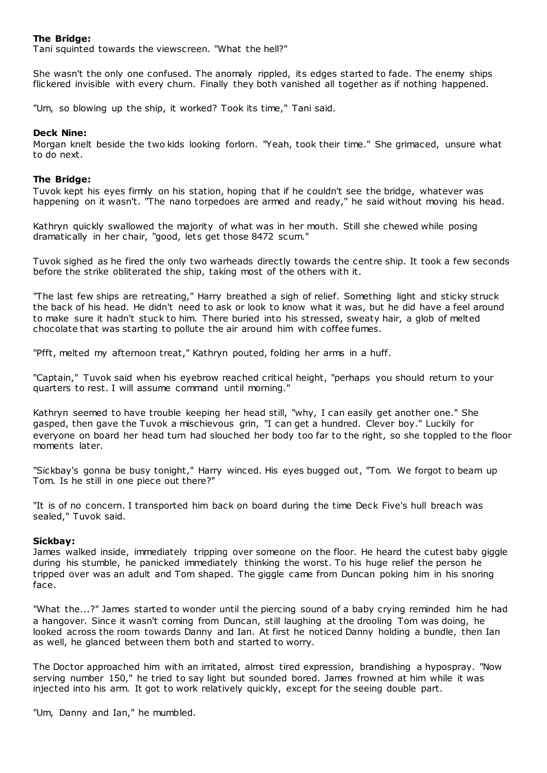## **The Bridge:**

Tani squinted towards the viewscreen. "What the hell?"

She wasn't the only one confused. The anomaly rippled, its edges started to fade. The enemy ships flickered invisible with every churn. Finally they both vanished all together as if nothing happened.

"Um, so blowing up the ship, it worked? Took its time," Tani said.

## **Deck Nine:**

Morgan knelt beside the two kids looking forlorn. "Yeah, took their time." She grimaced, unsure what to do next.

## **The Bridge:**

Tuvok kept his eyes firmly on his station, hoping that if he couldn't see the bridge, whatever was happening on it wasn't. "The nano torpedoes are armed and ready," he said without moving his head.

Kathryn quickly swallowed the majority of what was in her mouth. Still she chewed while posing dramatically in her chair, "good, lets get those 8472 scum."

Tuvok sighed as he fired the only two warheads directly towards the centre ship. It took a few seconds before the strike obliterated the ship, taking most of the others with it.

"The last few ships are retreating," Harry breathed a sigh of relief. Something light and sticky struck the back of his head. He didn't need to ask or look to know what it was, but he did have a feel around to make sure it hadn't stuck to him. There buried into his stressed, sweaty hair, a glob of melted chocolate that was starting to pollute the air around him with coffee fumes.

"Pfft, melted my afternoon treat," Kathryn pouted, folding her arms in a huff.

"Captain," Tuvok said when his eyebrow reached critical height, "perhaps you should return to your quarters to rest. I will assume command until morning."

Kathryn seemed to have trouble keeping her head still, "why, I can easily get another one." She gasped, then gave the Tuvok a mischievous grin, "I can get a hundred. Clever boy." Luckily for everyone on board her head turn had slouched her body too far to the right, so she toppled to the floor moments later.

"Sickbay's gonna be busy tonight," Harry winced. His eyes bugged out, "Tom. We forgot to beam up Tom. Is he still in one piece out there?"

"It is of no concern. I transported him back on board during the time Deck Five's hull breach was sealed," Tuvok said.

## **Sickbay:**

James walked inside, immediately tripping over someone on the floor. He heard the cutest baby giggle during his stumble, he panicked immediately thinking the worst. To his huge relief the person he tripped over was an adult and Tom shaped. The giggle came from Duncan poking him in his snoring face.

"What the...?" James started to wonder until the piercing sound of a baby crying reminded him he had a hangover. Since it wasn't coming from Duncan, still laughing at the drooling Tom was doing, he looked across the room towards Danny and Ian. At first he noticed Danny holding a bundle, then Ian as well, he glanced between them both and started to worry.

The Doctor approached him with an irritated, almost tired expression, brandishing a hypospray. "Now serving number 150," he tried to say light but sounded bored. James frowned at him while it was injected into his arm. It got to work relatively quickly, except for the seeing double part.

"Um, Danny and Ian," he mumbled.